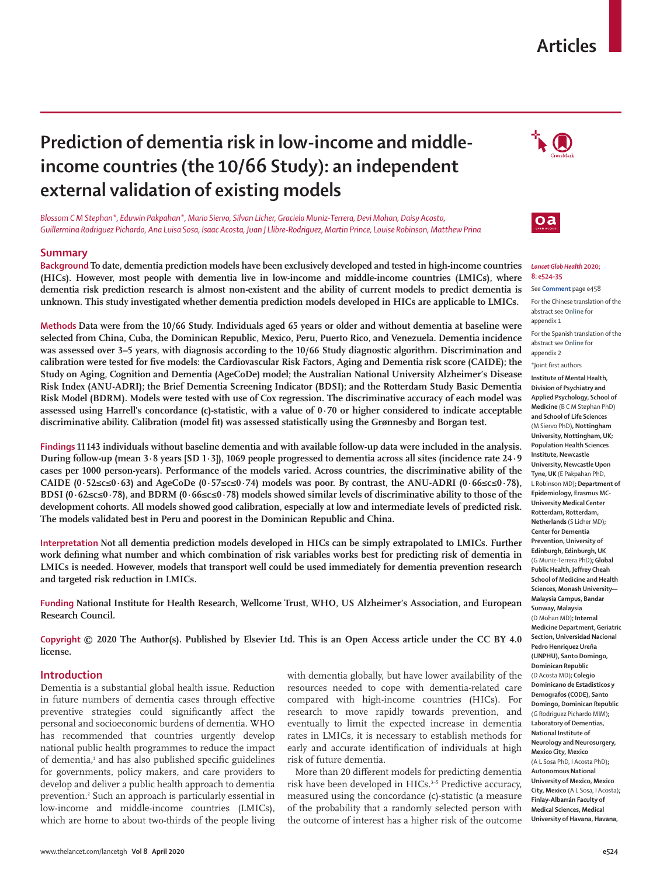## **Articles**

# **Prediction of dementia risk in low-income and middleincome countries (the 10/66 Study): an independent external validation of existing models**

*Blossom C M Stephan\*, Eduwin Pakpahan\*, Mario Siervo, Silvan Licher, Graciela Muniz-Terrera, Devi Mohan, Daisy Acosta, Guillermina Rodriguez Pichardo, Ana Luisa Sosa, Isaac Acosta, Juan J Llibre-Rodriguez, Martin Prince, Louise Robinson, Matthew Prina*

#### **Summary**

**Background To date, dementia prediction models have been exclusively developed and tested in high-income countries (HICs). However, most people with dementia live in low-income and middle-income countries (LMICs), where dementia risk prediction research is almost non-existent and the ability of current models to predict dementia is unknown. This study investigated whether dementia prediction models developed in HICs are applicable to LMICs.**

**Methods Data were from the 10/66 Study. Individuals aged 65 years or older and without dementia at baseline were selected from China, Cuba, the Dominican Republic, Mexico, Peru, Puerto Rico, and Venezuela. Dementia incidence was assessed over 3–5 years, with diagnosis according to the 10/66 Study diagnostic algorithm. Discrimination and calibration were tested for five models: the Cardiovascular Risk Factors, Aging and Dementia risk score (CAIDE); the Study on Aging, Cognition and Dementia (AgeCoDe) model; the Australian National University Alzheimer's Disease Risk Index (ANU-ADRI); the Brief Dementia Screening Indicator (BDSI); and the Rotterdam Study Basic Dementia Risk Model (BDRM). Models were tested with use of Cox regression. The discriminative accuracy of each model was assessed using Harrell's concordance (c)-statistic, with a value of 0·70 or higher considered to indicate acceptable discriminative ability. Calibration (model fit) was assessed statistically using the Grønnesby and Borgan test.** 

**Findings 11 143 individuals without baseline dementia and with available follow-up data were included in the analysis. During follow-up (mean 3·8 years [SD 1·3]), 1069 people progressed to dementia across all sites (incidence rate 24·9 cases per 1000 person-years). Performance of the models varied. Across countries, the discriminative ability of the CAIDE (0·52≤c≤0·63) and AgeCoDe (0·57≤c≤0·74) models was poor. By contrast, the ANU-ADRI (0·66≤c≤0·78), BDSI (0·62≤c≤0·78), and BDRM (0·66≤c≤0·78) models showed similar levels of discriminative ability to those of the development cohorts. All models showed good calibration, especially at low and intermediate levels of predicted risk. The models validated best in Peru and poorest in the Dominican Republic and China.**

**Interpretation Not all dementia prediction models developed in HICs can be simply extrapolated to LMICs. Further work defining what number and which combination of risk variables works best for predicting risk of dementia in LMICs is needed. However, models that transport well could be used immediately for dementia prevention research and targeted risk reduction in LMICs.**

**Funding National Institute for Health Research, Wellcome Trust, WHO, US Alzheimer's Association, and European Research Council.**

**Copyright © 2020 The Author(s). Published by Elsevier Ltd. This is an Open Access article under the CC BY 4.0 license.**

#### **Introduction**

Dementia is a substantial global health issue. Reduction in future numbers of dementia cases through effective preventive strategies could significantly affect the personal and socioeconomic burdens of dementia. WHO has recommended that countries urgently develop national public health programmes to reduce the impact of dementia,<sup>1</sup> and has also published specific guidelines for governments, policy makers, and care providers to develop and deliver a public health approach to dementia prevention.2 Such an approach is particularly essential in low-income and middle-income countries (LMICs), which are home to about two-thirds of the people living

with dementia globally, but have lower availability of the resources needed to cope with dementia-related care compared with high-income countries (HICs). For research to move rapidly towards prevention, and eventually to limit the expected increase in dementia rates in LMICs, it is necessary to establish methods for early and accurate identification of individuals at high risk of future dementia.

More than 20 different models for predicting dementia risk have been developed in HICs.<sup>3-5</sup> Predictive accuracy, measured using the concordance (c)-statistic (a measure of the probability that a randomly selected person with the outcome of interest has a higher risk of the outcome





#### *Lancet Glob Health* **2020; 8: e524–35**

See **Comment** page e458 For the Chinese translation of the abstract see **Online** for appendix 1

For the Spanish translation of the abstract see **Online** for appendix 2

\*Joint first authors

**Institute of Mental Health, Division of Psychiatry and Applied Psychology, School of Medicine** (B C M Stephan PhD) **and School of Life Sciences**  (M Siervo PhD)**, Nottingham University, Nottingham, UK; Population Health Sciences Institute, Newcastle University, Newcastle Upon Tyne, UK** (E Pakpahan PhD, L Robinson MD)**; Department of Epidemiology, Erasmus MC-University Medical Center Rotterdam, Rotterdam, Netherlands** (S Licher MD)**; Center for Dementia Prevention, University of Edinburgh, Edinburgh, UK**  (G Muniz-Terrera PhD)**; Global Public Health, Jeffrey Cheah School of Medicine and Health Sciences, Monash University— Malaysia Campus, Bandar Sunway, Malaysia**  (D Mohan MD)**; Internal Medicine Department, Geriatric Section, Universidad Nacional Pedro Henriquez Ureña (UNPHU), Santo Domingo, Dominican Republic**  (D Acosta MD)**; Colegio Dominicano de Estadisticos y Demografos (CODE), Santo Domingo, Dominican Republic**  (G Rodriguez Pichardo MIM)**; Laboratory of Dementias, National Institute of Neurology and Neurosurgery, Mexico City, Mexico**  (A L Sosa PhD, I Acosta PhD)**; Autonomous National University of Mexico, Mexico City, Mexico** (A L Sosa, I Acosta)**; Finlay-Albarrán Faculty of Medical Sciences, Medical University of Havana, Havana,**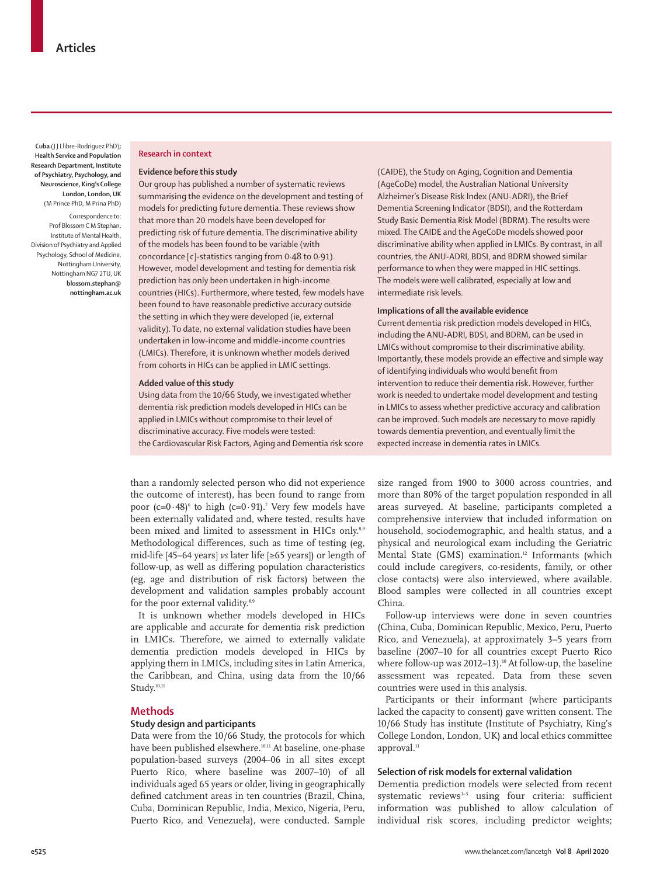**Cuba** (J J Llibre-Rodriguez PhD)**; Health Service and Population Research Department, Institute of Psychiatry, Psychology, and Neuroscience, King's College London, London, UK**  (M Prince PhD, M Prina PhD)

Correspondence to: Prof Blossom C M Stephan, Institute of Mental Health, Division of Psychiatry and Applied Psychology, School of Medicine, Nottingham University, Nottingham NG7 2TU, UK **blossom.stephan@ nottingham.ac.uk**

#### **Research in context**

#### **Evidence before this study**

Our group has published a number of systematic reviews summarising the evidence on the development and testing of models for predicting future dementia. These reviews show that more than 20 models have been developed for predicting risk of future dementia. The discriminative ability of the models has been found to be variable (with concordance [c]-statistics ranging from 0·48 to 0·91). However, model development and testing for dementia risk prediction has only been undertaken in high-income countries (HICs). Furthermore, where tested, few models have been found to have reasonable predictive accuracy outside the setting in which they were developed (ie, external validity). To date, no external validation studies have been undertaken in low-income and middle-income countries (LMICs). Therefore, it is unknown whether models derived from cohorts in HICs can be applied in LMIC settings.

#### **Added value of this study**

Using data from the 10/66 Study, we investigated whether dementia risk prediction models developed in HICs can be applied in LMICs without compromise to their level of discriminative accuracy. Five models were tested: the Cardiovascular Risk Factors, Aging and Dementia risk score

than a randomly selected person who did not experience the outcome of interest), has been found to range from poor (c=0·48) $\degree$  to high (c=0·91).<sup>7</sup> Very few models have been externally validated and, where tested, results have been mixed and limited to assessment in HICs only.<sup>8,9</sup> Methodological differences, such as time of testing (eg, mid-life [45–64 years] *vs* later life [≥65 years]) or length of follow-up, as well as differing population characteristics (eg, age and distribution of risk factors) between the development and validation samples probably account for the poor external validity.<sup>8,9</sup>

It is unknown whether models developed in HICs are applicable and accurate for dementia risk prediction in LMICs. Therefore, we aimed to externally validate dementia prediction models developed in HICs by applying them in LMICs, including sites in Latin America, the Caribbean, and China, using data from the 10/66 Study.<sup>10,11</sup>

## **Methods**

#### **Study design and participants**

Data were from the 10/66 Study, the protocols for which have been published elsewhere.<sup>10,11</sup> At baseline, one-phase population-based surveys (2004–06 in all sites except Puerto Rico, where baseline was 2007–10) of all individuals aged 65 years or older, living in geographically defined catchment areas in ten countries (Brazil, China, Cuba, Dominican Republic, India, Mexico, Nigeria, Peru, Puerto Rico, and Venezuela), were conducted. Sample (CAIDE), the Study on Aging, Cognition and Dementia (AgeCoDe) model, the Australian National University Alzheimer's Disease Risk Index (ANU-ADRI), the Brief Dementia Screening Indicator (BDSI), and the Rotterdam Study Basic Dementia Risk Model (BDRM). The results were mixed. The CAIDE and the AgeCoDe models showed poor discriminative ability when applied in LMICs. By contrast, in all countries, the ANU-ADRI, BDSI, and BDRM showed similar performance to when they were mapped in HIC settings. The models were well calibrated, especially at low and intermediate risk levels.

#### **Implications of all the available evidence**

Current dementia risk prediction models developed in HICs, including the ANU-ADRI, BDSI, and BDRM, can be used in LMICs without compromise to their discriminative ability. Importantly, these models provide an effective and simple way of identifying individuals who would benefit from intervention to reduce their dementia risk. However, further work is needed to undertake model development and testing in LMICs to assess whether predictive accuracy and calibration can be improved. Such models are necessary to move rapidly towards dementia prevention, and eventually limit the expected increase in dementia rates in LMICs.

size ranged from 1900 to 3000 across countries, and more than 80% of the target population responded in all areas surveyed. At baseline, participants completed a comprehensive interview that included information on household, sociodemographic, and health status, and a physical and neurological exam including the Geriatric Mental State (GMS) examination.<sup>12</sup> Informants (which could include caregivers, co-residents, family, or other close contacts) were also interviewed, where available. Blood samples were collected in all countries except China.

Follow-up interviews were done in seven countries (China, Cuba, Dominican Republic, Mexico, Peru, Puerto Rico, and Venezuela), at approximately 3–5 years from baseline (2007–10 for all countries except Puerto Rico where follow-up was 2012–13).<sup>10</sup> At follow-up, the baseline assessment was repeated. Data from these seven countries were used in this analysis.

Participants or their informant (where participants lacked the capacity to consent) gave written consent. The 10/66 Study has institute (Institute of Psychiatry, King's College London, London, UK) and local ethics committee approval.<sup>11</sup>

#### **Selection of risk models for external validation**

Dementia prediction models were selected from recent systematic reviews<sup>3-5</sup> using four criteria: sufficient information was published to allow calculation of individual risk scores, including predictor weights;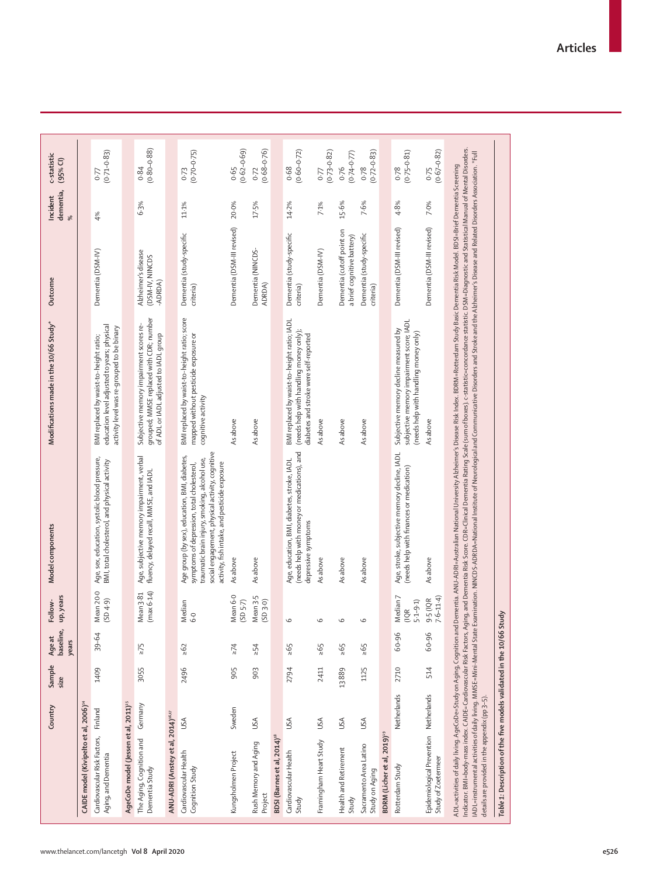|                                                                      | Country     | Sample<br>size | baseline,<br>Age at<br>years | up, years<br>Follow-                     | Model components                                                                                                                                                                                                                                                                                                                                                                                                                                                                                                                                                                                                                                                                                   | Modifications made in the 10/66 Study*                                                                                              | Outcome                                                 | dementia,<br>Incident<br>$\infty$ | c-statistic<br>$(95%$ CI) |
|----------------------------------------------------------------------|-------------|----------------|------------------------------|------------------------------------------|----------------------------------------------------------------------------------------------------------------------------------------------------------------------------------------------------------------------------------------------------------------------------------------------------------------------------------------------------------------------------------------------------------------------------------------------------------------------------------------------------------------------------------------------------------------------------------------------------------------------------------------------------------------------------------------------------|-------------------------------------------------------------------------------------------------------------------------------------|---------------------------------------------------------|-----------------------------------|---------------------------|
| CAIDE model (Kivipelto et al, 2006) <sup>14</sup>                    |             |                |                              |                                          |                                                                                                                                                                                                                                                                                                                                                                                                                                                                                                                                                                                                                                                                                                    |                                                                                                                                     |                                                         |                                   |                           |
| Cardiovascular Risk Factors,<br>Aging, and Dementia                  | Finland     | 1409           | $39 - 64$                    | Mean 20-0<br>(SD 4-9)                    | Age, sex, education, systolic blood pressure,<br>BMI, total cholesterol, and physical activity                                                                                                                                                                                                                                                                                                                                                                                                                                                                                                                                                                                                     | education level adjusted to years; physical<br>activity level was re-grouped to be binary<br>BMI replaced by waist-to-height ratio; | Dementia (DSM-IV)                                       | 4%                                | $(0.71 - 0.83)$<br>77     |
| AgeCoDe model (Jessen et al, 2011) <sup>15</sup>                     |             |                |                              |                                          |                                                                                                                                                                                                                                                                                                                                                                                                                                                                                                                                                                                                                                                                                                    |                                                                                                                                     |                                                         |                                   |                           |
| The Aging, Cognition and<br>Dementia Study                           | Germany     | 3055           | $\geq 75$                    | Mean 3:81<br>(max 6:14)                  | Age, subjective memory impairment, verbal<br>fluency, delayed recall, MMSE, and IADL                                                                                                                                                                                                                                                                                                                                                                                                                                                                                                                                                                                                               | grouped; MMSE replaced with CDR; number<br>Subjective memory impairment scores re-<br>of ADL or IADL adjusted to IADL group         | Alzheimer's disease<br>(DSM-IV, NINCDS<br>ADRDA)        | 6.3%                              | $(0.80 - 0.88)$<br>0.84   |
| ANU-ADRI (Anstey et al, 2014) <sup>16,17</sup>                       |             |                |                              |                                          |                                                                                                                                                                                                                                                                                                                                                                                                                                                                                                                                                                                                                                                                                                    |                                                                                                                                     |                                                         |                                   |                           |
| Cardiovascular Health<br>Cognition Study                             | USA         | 2496           | $\geq 62$                    | Median<br>6.0                            | social engagement, physical activity, cognitive<br>Age group (by sex), education, BMI, diabetes,<br>traumatic brain injury, smoking, alcohol use,<br>activity, fish intake, and pesticide exposure<br>symptoms of depression, total cholesterol,                                                                                                                                                                                                                                                                                                                                                                                                                                                   | BMI replaced by waist-to-height ratio; score<br>mapped without pesticide exposure or<br>cognitive activity                          | Dementia (study-specific<br>criteria)                   | 11.1%                             | $(0.70 - 0.75)$<br>0.73   |
| Kungsholmen Project                                                  | Sweden      | 905            | $\geq$ 74                    | Mean 6-0<br>$(SD 5.7)$                   | As above                                                                                                                                                                                                                                                                                                                                                                                                                                                                                                                                                                                                                                                                                           | As above                                                                                                                            | Dementia (DSM-III revised)                              | 20.0%                             | $(0.62 - 0.69)$<br>0.65   |
| Rush Memory and Aging<br>Project                                     | USA         | 903            | >54                          | Mean 3-5<br>(5D30)                       | As above                                                                                                                                                                                                                                                                                                                                                                                                                                                                                                                                                                                                                                                                                           | As above                                                                                                                            | Dementia (NINCDS-<br>ADRDA)                             | 17-5%                             | $(0.68 - 0.76)$<br>0.72   |
| BDSI (Barnes et al, 2014) <sup>18</sup>                              |             |                |                              |                                          |                                                                                                                                                                                                                                                                                                                                                                                                                                                                                                                                                                                                                                                                                                    |                                                                                                                                     |                                                         |                                   |                           |
| Cardiovascular Health<br>Study                                       | USA         | 2794           | $595$                        | $\circ$                                  | (needs help with money or medications), and<br>Age, education, BMI, diabetes, stroke, IADL<br>depressive symptoms                                                                                                                                                                                                                                                                                                                                                                                                                                                                                                                                                                                  | BMI replaced by waist-to-height ratio; IADL<br>(needs help with handling money only);<br>diabetes and stroke were self-reported     | Dementia (study-specific<br>criteria)                   | 14.2%                             | $(0.60 - 0.72)$<br>0.68   |
| Framingham Heart Study                                               | USA         | 2411           | $\geq 65$                    | $\circ$                                  | As above                                                                                                                                                                                                                                                                                                                                                                                                                                                                                                                                                                                                                                                                                           | As above                                                                                                                            | Dementia (DSM-IV)                                       | 7.1%                              | $0.77$<br>$(0.73 - 0.82)$ |
| Health and Retirement<br>Study                                       | USA         | 13889          | 595                          | $\circ$                                  | As above                                                                                                                                                                                                                                                                                                                                                                                                                                                                                                                                                                                                                                                                                           | As above                                                                                                                            | Dementia (cutoff point on<br>a brief cognitive battery) | 15.6%                             | $(0.74 - 0.77)$<br>0.76   |
| Sacramento Area Latino<br>Study on Aging                             | USA         | 1125           | $\geq 65$                    | $\circ$                                  | As above                                                                                                                                                                                                                                                                                                                                                                                                                                                                                                                                                                                                                                                                                           | As above                                                                                                                            | Dementia (study-specific<br>criteria)                   | 7.6%                              | $(0.72 - 0.83)$<br>0.78   |
| BDRM (Licher et al, 2019) <sup>19</sup>                              |             |                |                              |                                          |                                                                                                                                                                                                                                                                                                                                                                                                                                                                                                                                                                                                                                                                                                    |                                                                                                                                     |                                                         |                                   |                           |
| Rotterdam Study                                                      | Netherlands | 2710           | 60-96                        | Median <sub>7</sub><br>$5-1-9-1$<br>(10) | Age, stroke, subjective memory decline, IADL<br>(needs help with finances or medication)                                                                                                                                                                                                                                                                                                                                                                                                                                                                                                                                                                                                           | subjective memory impairment score; IADL<br>Subjective memory decline measured by<br>(needs help with handling money only)          | Dementia (DSM-III revised)                              | 4.8%                              | $(0.75 - 0.81)$<br>0.78   |
| Epidemiological Prevention Netherlands<br>Study of Zoetermeer        |             | 514            | 60-96                        | $9.5(10R$<br>7.6-11.4)                   | As above                                                                                                                                                                                                                                                                                                                                                                                                                                                                                                                                                                                                                                                                                           | As above                                                                                                                            | Dementia (DSM-III revised)                              | 7.0%                              | $0.75$<br>$(0.67 - 0.82)$ |
| details are provided in the appendix (pp 3-5).                       |             |                |                              |                                          | Indicator. BMI=body-mass index. CAIDE=Cardiovascular Risk Factors, Aging, and Dementia Risk Score. CDR=Clinical Dementia Rating Scale (sum of boxes). c-statistic-concordance statistic. DSM=Diagnostic and Statistical Manual<br>ADL=instrumental activities of dally living. MMSE=Mini-Mental State Examination. NINCDS-ADRDA=National Institute of Neurological and Communicative Disorders and Stroke and the Alzheimer's Disease and Related Disorders Asso<br>ADL=activities of daily living, AgeCoDe=Study on Aging, Cognition and Dementia. ANU-ADRI=Australian National University Alzheimer's Disease Risk Index. BDRM=Rotterdam Study Basic Dementia Risk Model. BDSI=Brief Dementia Sc |                                                                                                                                     |                                                         |                                   |                           |
| Table 1: Description of the five models validated in the 10/66 Study |             |                |                              |                                          |                                                                                                                                                                                                                                                                                                                                                                                                                                                                                                                                                                                                                                                                                                    |                                                                                                                                     |                                                         |                                   |                           |
|                                                                      |             |                |                              |                                          |                                                                                                                                                                                                                                                                                                                                                                                                                                                                                                                                                                                                                                                                                                    |                                                                                                                                     |                                                         |                                   |                           |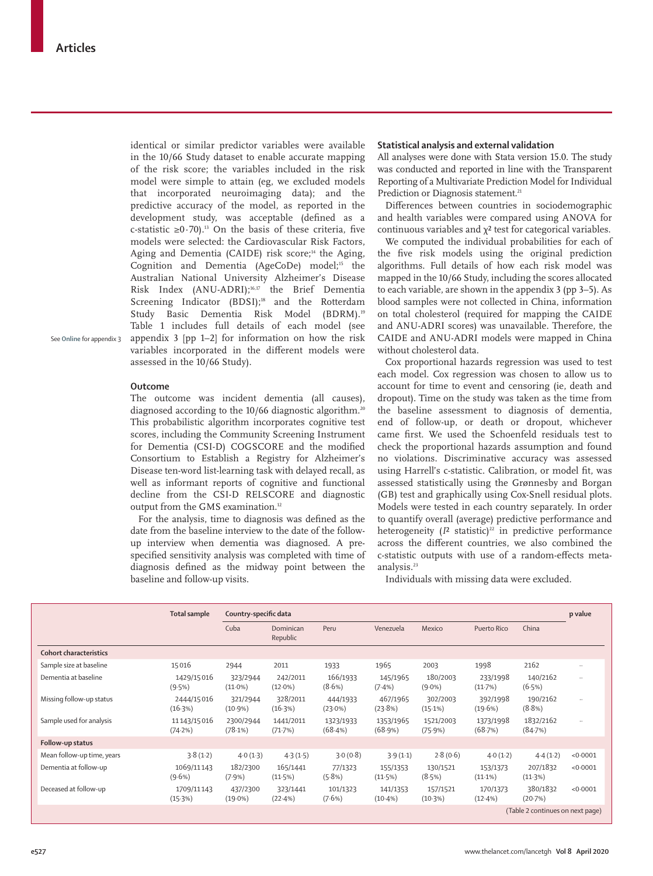identical or similar predictor variables were available in the 10/66 Study dataset to enable accurate mapping of the risk score; the variables included in the risk model were simple to attain (eg, we excluded models that incorporated neuroimaging data); and the predictive accuracy of the model, as reported in the development study, was acceptable (defined as a c-statistic ≥0·70).<sup>13</sup> On the basis of these criteria, five models were selected: the Cardiovascular Risk Factors, Aging and Dementia (CAIDE) risk score;<sup>14</sup> the Aging, Cognition and Dementia (AgeCoDe) model;<sup>15</sup> the Australian National University Alzheimer's Disease Risk Index (ANU-ADRI);16,17 the Brief Dementia Screening Indicator (BDSI);<sup>18</sup> and the Rotterdam Study Basic Dementia Risk Model (BDRM).<sup>19</sup> Table 1 includes full details of each model (see appendix 3 [pp 1–2] for information on how the risk variables incorporated in the different models were assessed in the 10/66 Study).

See **Online** for appendix 3

#### **Outcome**

The outcome was incident dementia (all causes), diagnosed according to the 10/66 diagnostic algorithm.<sup>20</sup> This probabilistic algorithm incorporates cognitive test scores, including the Community Screening Instrument for Dementia (CSI-D) COGSCORE and the modified Consortium to Establish a Registry for Alzheimer's Disease ten-word list-learning task with delayed recall, as well as informant reports of cognitive and functional decline from the CSI-D RELSCORE and diagnostic output from the GMS examination.12

For the analysis, time to diagnosis was defined as the date from the baseline interview to the date of the followup interview when dementia was diagnosed. A prespecified sensitivity analysis was completed with time of diagnosis defined as the midway point between the baseline and follow-up visits.

#### **Statistical analysis and external validation**

All analyses were done with Stata version 15.0. The study was conducted and reported in line with the Transparent Reporting of a Multivariate Prediction Model for Individual Prediction or Diagnosis statement.<sup>21</sup>

Differences between countries in sociodemographic and health variables were compared using ANOVA for continuous variables and  $\chi^2$  test for categorical variables.

We computed the individual probabilities for each of the five risk models using the original prediction algorithms. Full details of how each risk model was mapped in the 10/66 Study, including the scores allocated to each variable, are shown in the appendix 3 (pp 3–5). As blood samples were not collected in China, information on total cholesterol (required for mapping the CAIDE and ANU-ADRI scores) was unavailable. Therefore, the CAIDE and ANU-ADRI models were mapped in China without cholesterol data.

Cox proportional hazards regression was used to test each model. Cox regression was chosen to allow us to account for time to event and censoring (ie, death and dropout). Time on the study was taken as the time from the baseline assessment to diagnosis of dementia, end of follow-up, or death or dropout, whichever came first. We used the Schoenfeld residuals test to check the proportional hazards assumption and found no violations. Discriminative accuracy was assessed using Harrell's c-statistic. Calibration, or model fit, was assessed statistically using the Grønnesby and Borgan (GB) test and graphically using Cox-Snell residual plots. Models were tested in each country separately. In order to quantify overall (average) predictive performance and heterogeneity ( $I<sup>2</sup>$  statistic)<sup>22</sup> in predictive performance across the different countries, we also combined the c-statistic outputs with use of a random-effects metaanalysis.23

Individuals with missing data were excluded.

|                               | Total sample              | Country-specific data  |                        |                        |                        |                        |                        |                                  | p value   |
|-------------------------------|---------------------------|------------------------|------------------------|------------------------|------------------------|------------------------|------------------------|----------------------------------|-----------|
|                               |                           | Cuba                   | Dominican<br>Republic  | Peru                   | Venezuela              | Mexico                 | Puerto Rico            | China                            |           |
| <b>Cohort characteristics</b> |                           |                        |                        |                        |                        |                        |                        |                                  |           |
| Sample size at baseline       | 15016                     | 2944                   | 2011                   | 1933                   | 1965                   | 2003                   | 1998                   | 2162                             |           |
| Dementia at baseline          | 1429/15016<br>(9.5%)      | 323/2944<br>$(11.0\%)$ | 242/2011<br>$(12.0\%)$ | 166/1933<br>(8.6%)     | 145/1965<br>$(7.4\%)$  | 180/2003<br>$(9.0\%)$  | 233/1998<br>(11.7%)    | 140/2162<br>(6.5%)               | $\ddotsc$ |
| Missing follow-up status      | 2444/15016<br>(16.3%)     | 321/2944<br>$(10.9\%)$ | 328/2011<br>(16.3%)    | 444/1933<br>$(23.0\%)$ | 467/1965<br>(23.8%)    | 302/2003<br>$(15.1\%)$ | 392/1998<br>(19.6%)    | 190/2162<br>(8.8%)               |           |
| Sample used for analysis      | 11143/15016<br>$(74.2\%)$ | 2300/2944<br>(78.1%)   | 1441/2011<br>(71.7%)   | 1323/1933<br>(68.4%)   | 1353/1965<br>(68.9%)   | 1521/2003<br>(75.9%)   | 1373/1998<br>(68.7%)   | 1832/2162<br>(84.7%)             | $\ddotsc$ |
| Follow-up status              |                           |                        |                        |                        |                        |                        |                        |                                  |           |
| Mean follow-up time, years    | 3.8(1.2)                  | 4.0(1.3)               | 4.3(1.5)               | 3.0(0.8)               | 3.9(1.1)               | 2.8(0.6)               | 4.0(1.2)               | 4.4(1.2)                         | < 0.0001  |
| Dementia at follow-up         | 1069/11143<br>(9.6% )     | 182/2300<br>$(7.9\%)$  | 165/1441<br>(11.5%)    | 77/1323<br>(5.8%)      | 155/1353<br>(11.5%)    | 130/1521<br>(8.5%)     | 153/1373<br>$(11.1\%)$ | 207/1832<br>(11.3%)              | < 0.0001  |
| Deceased at follow-up         | 1709/11143<br>(15.3%)     | 437/2300<br>$(19.0\%)$ | 323/1441<br>(22.4%)    | 101/1323<br>$(7.6\%)$  | 141/1353<br>$(10.4\%)$ | 157/1521<br>$(10-3%)$  | 170/1373<br>$(12.4\%)$ | 380/1832<br>(20.7%)              | < 0.0001  |
|                               |                           |                        |                        |                        |                        |                        |                        | (Table 2 continues on next page) |           |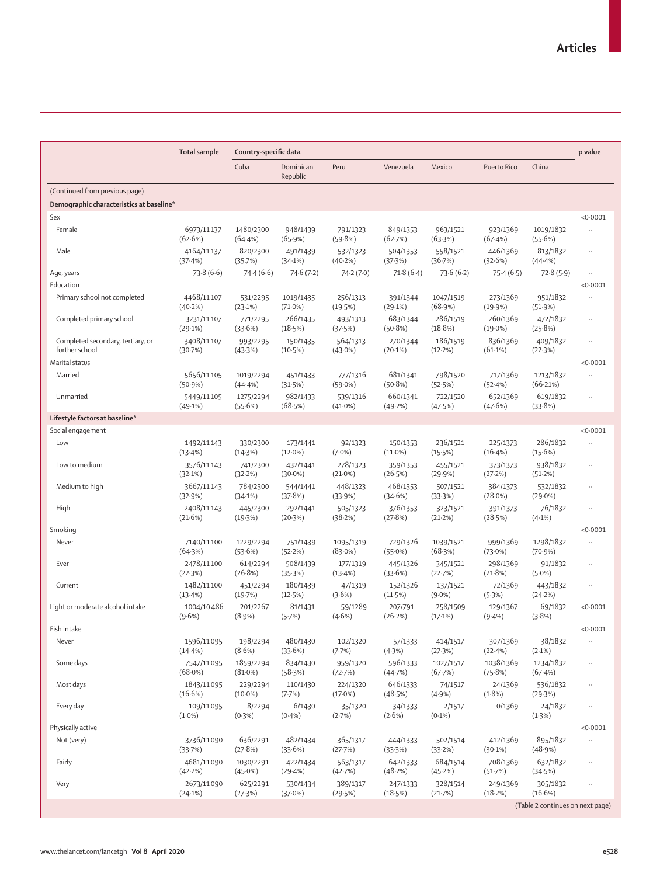| Cuba<br>Peru<br>China<br>Dominican<br>Venezuela<br>Mexico<br>Puerto Rico<br>Republic<br>(Continued from previous page)<br>Demographic characteristics at baseline*<br>Sex<br>< 0.0001<br>1480/2300<br>948/1439<br>1019/1832<br>Female<br>6973/11137<br>791/1323<br>849/1353<br>963/1521<br>923/1369<br>$\ddotsc$<br>(59.8%)<br>(62.6%)<br>(64.4%)<br>(65.9%)<br>(62.7%)<br>(63.3%)<br>(67.4%)<br>(55.6%)<br>558/1521<br>446/1369<br>Male<br>4164/11137<br>820/2300<br>491/1439<br>532/1323<br>504/1353<br>813/1832<br>$\ddotsc$<br>(36.7%)<br>(37.4%)<br>(35.7%)<br>$(40.2\%)$<br>(32.6%)<br>(34.1%)<br>(37.3%)<br>(44.4%)<br>73.8(6.6)<br>74.4(6.6)<br>74.6(7.2)<br>71.8(6.4)<br>73.6(6.2)<br>72.8(5.9)<br>74.2(7.0)<br>75.4(6.5)<br>Age, years<br>$\ldots$<br>Education<br>< 0.0001<br>4468/11107<br>951/1832<br>Primary school not completed<br>531/2295<br>1019/1435<br>256/1313<br>391/1344<br>1047/1519<br>273/1369<br>$\ddotsc$<br>(40.2%)<br>(23.1%)<br>$(71.0\%)$<br>(19.5%)<br>(29.1%)<br>(68.9%)<br>(19.9%)<br>(51.9%)<br>286/1519<br>472/1832<br>Completed primary school<br>3231/11107<br>771/2295<br>266/1435<br>493/1313<br>683/1344<br>260/1369<br>$\ldots$<br>(25.8%)<br>(29.1%)<br>(33.6%)<br>(18.5%)<br>(37.5%)<br>(50.8%)<br>(18.8%)<br>$(19.0\%)$<br>3408/11107<br>186/1519<br>836/1369<br>409/1832<br>Completed secondary, tertiary, or<br>993/2295<br>150/1435<br>564/1313<br>270/1344<br>$\ldots$<br>further school<br>(30.7%)<br>(10.5%)<br>$(43.0\%)$<br>$(20.1\%)$<br>$(12.2\%)$<br>$(61.1\%)$<br>(22.3%)<br>(43.3%)<br>Marital status<br>< 0.0001<br>1213/1832<br>Married<br>5656/11105<br>1019/2294<br>777/1316<br>681/1341<br>798/1520<br>717/1369<br>451/1433<br>$\ddotsc$<br>(50.8%)<br>(52.5%)<br>(52.4%)<br>(66.21%)<br>(50.9%)<br>(44.4%)<br>(31.5%)<br>$(59.0\%)$<br>982/1433<br>660/1341<br>652/1369<br>619/1832<br>Unmarried<br>1275/2294<br>539/1316<br>722/1520<br>5449/11105<br>$\ldots$<br>(49.1%)<br>(55.6%)<br>(68.5%)<br>$(41.0\%)$<br>(49.2%)<br>(47.5%)<br>(47.6%)<br>(33.8%)<br>Lifestyle factors at baseline*<br>Social engagement<br>< 0.0001<br>286/1832<br>Low<br>1492/11143<br>330/2300<br>173/1441<br>92/1323<br>150/1353<br>236/1521<br>225/1373<br>$\ddot{\phantom{a}}$<br>$(12.0\%)$<br>$(11.0\%)$<br>(15.5%)<br>$(16.4\%)$<br>(15.6%)<br>(13.4%)<br>(14.3%)<br>$(7.0\%)$<br>938/1832<br>Low to medium<br>3576/11143<br>741/2300<br>432/1441<br>278/1323<br>455/1521<br>359/1353<br>373/1373<br>$\ddot{\phantom{a}}$<br>(32.2%)<br>$(30.0\%)$<br>$(21.0\%)$<br>(26.5%)<br>(29.9%)<br>(51.2%)<br>(32.1%)<br>(27.2%)<br>3667/11143<br>Medium to high<br>784/2300<br>544/1441<br>448/1323<br>468/1353<br>507/1521<br>384/1373<br>532/1832<br>$\ddot{\phantom{a}}$<br>(32.9%)<br>(37.8%)<br>(33.9%)<br>(34.6%)<br>(33.3%)<br>$(28.0\%)$<br>$(29.0\%)$<br>(34.1%)<br>2408/11143<br>376/1353<br>76/1832<br>High<br>445/2300<br>292/1441<br>505/1323<br>323/1521<br>391/1373<br>$\ldots$<br>(21.6%)<br>(20.3%)<br>(38.2%)<br>(27.8%)<br>(21.2%)<br>(28.5%)<br>(19.3%)<br>$(4.1\%)$<br>< 0.0001<br>Smoking<br>1298/1832<br>Never<br>7140/11100<br>1229/2294<br>751/1439<br>1095/1319<br>729/1326<br>1039/1521<br>999/1369<br>$\ddotsc$<br>(53.6%)<br>$(83.0\%)$<br>(68.3%)<br>$(73.0\%)$<br>(70.9%)<br>(64.3%)<br>(52.2%)<br>(55.0%)<br>2478/11100<br>614/2294<br>508/1439<br>177/1319<br>445/1326<br>345/1521<br>298/1369<br>91/1832<br>Ever<br>$\ldots$<br>(26.8%)<br>(22.3%)<br>(35.3%)<br>$(13.4\%)$<br>(33.6%)<br>(22.7%)<br>(21.8%)<br>$(5.0\%)$<br>1482/11100<br>443/1832<br>451/2294<br>180/1439<br>47/1319<br>152/1326<br>137/1521<br>72/1369<br>Current<br>$\ddot{\phantom{0}}$<br>(13.4%)<br>(19.7%)<br>(12.5%)<br>(3.6%)<br>(11.5%)<br>$(9.0\%)$<br>(5.3%)<br>(24.2%)<br>69/1832<br>Light or moderate alcohol intake<br>1004/10486<br>201/2267<br>81/1431<br>59/1289<br>258/1509<br>129/1367<br>< 0.0001<br>207/791<br>$(9.6\%)$<br>$(8.9\%)$<br>(5.7%)<br>$(4.6\%)$<br>(26.2%)<br>(3.8%)<br>(17.1%)<br>$(9.4\%)$<br>Fish intake<br>< 0.0001<br>1596/11095<br>198/2294<br>480/1430<br>102/1320<br>307/1369<br>38/1832<br>Never<br>57/1333<br>414/1517<br>$\ldots$<br>$(14.4\%)$<br>(8.6%)<br>(33.6%)<br>(7.7%)<br>(27.3%)<br>(22.4%)<br>$(2.1\%)$<br>(4.3%)<br>Some days<br>1859/2294<br>834/1430<br>1038/1369<br>1234/1832<br>7547/11095<br>959/1320<br>596/1333<br>1027/1517<br>$\ldots$<br>(68.0%)<br>$(81.0\%)$<br>(58.3%)<br>(72.7%)<br>(44.7%)<br>(67.7%)<br>(75.8%)<br>(67.4%)<br>Most days<br>1843/11095<br>646/1333<br>536/1832<br>229/2294<br>110/1430<br>224/1320<br>74/1517<br>24/1369<br>$\ldots$<br>(16.6%)<br>$(10.0\%)$<br>(7.7%)<br>$(17.0\%)$<br>(48.5%)<br>(4.9%)<br>(1.8%)<br>(29.3%)<br>6/1430<br>24/1832<br>Every day<br>109/11095<br>8/2294<br>35/1320<br>34/1333<br>2/1517<br>0/1369<br>$\ldots$<br>(2.6%)<br>$(0.1\%)$<br>$(1.0\%)$<br>(0.3%)<br>$(0.4\%)$<br>(2.7%)<br>(1.3%)<br>Physically active<br>< 0.0001<br>636/2291<br>482/1434<br>895/1832<br>Not (very)<br>3736/11090<br>365/1317<br>444/1333<br>502/1514<br>412/1369<br>$\ddotsc$<br>(27.8%)<br>(33.6%)<br>(33.7%)<br>(27.7%)<br>(33.3%)<br>(33.2%)<br>$(30.1\%)$<br>(48.9%)<br>Fairly<br>4681/11090<br>1030/2291<br>422/1434<br>563/1317<br>642/1333<br>684/1514<br>708/1369<br>632/1832<br>$\ddotsc$<br>(48.2%)<br>(42.2%)<br>(45.0%)<br>(29.4%)<br>(42.7%)<br>(45.2%)<br>(51.7%)<br>(34.5%)<br>2673/11090<br>328/1514<br>305/1832<br>Very<br>625/2291<br>530/1434<br>389/1317<br>247/1333<br>249/1369<br>$\ldots$<br>(16.6%)<br>(18.5%)<br>(18.2%)<br>(24.1%)<br>(27.3%)<br>(37.0%)<br>(29.5%)<br>(21.7%)<br>(Table 2 continues on next page) | <b>Total sample</b> | Country-specific data |  |  |  | p value |
|---------------------------------------------------------------------------------------------------------------------------------------------------------------------------------------------------------------------------------------------------------------------------------------------------------------------------------------------------------------------------------------------------------------------------------------------------------------------------------------------------------------------------------------------------------------------------------------------------------------------------------------------------------------------------------------------------------------------------------------------------------------------------------------------------------------------------------------------------------------------------------------------------------------------------------------------------------------------------------------------------------------------------------------------------------------------------------------------------------------------------------------------------------------------------------------------------------------------------------------------------------------------------------------------------------------------------------------------------------------------------------------------------------------------------------------------------------------------------------------------------------------------------------------------------------------------------------------------------------------------------------------------------------------------------------------------------------------------------------------------------------------------------------------------------------------------------------------------------------------------------------------------------------------------------------------------------------------------------------------------------------------------------------------------------------------------------------------------------------------------------------------------------------------------------------------------------------------------------------------------------------------------------------------------------------------------------------------------------------------------------------------------------------------------------------------------------------------------------------------------------------------------------------------------------------------------------------------------------------------------------------------------------------------------------------------------------------------------------------------------------------------------------------------------------------------------------------------------------------------------------------------------------------------------------------------------------------------------------------------------------------------------------------------------------------------------------------------------------------------------------------------------------------------------------------------------------------------------------------------------------------------------------------------------------------------------------------------------------------------------------------------------------------------------------------------------------------------------------------------------------------------------------------------------------------------------------------------------------------------------------------------------------------------------------------------------------------------------------------------------------------------------------------------------------------------------------------------------------------------------------------------------------------------------------------------------------------------------------------------------------------------------------------------------------------------------------------------------------------------------------------------------------------------------------------------------------------------------------------------------------------------------------------------------------------------------------------------------------------------------------------------------------------------------------------------------------------------------------------------------------------------------------------------------------------------------------------------------------------------------------------------------------------------------------------------------------------------------------------------------------------------------------------------------------------------------------------------------------------------------------------------------------------------------------------------------------------------------------------------------------------------------------------------------------------------------------------------------------------------------------------------------------------------------------------------------------------------------------------------------------------------------------------------------------------------------------------------------------------------------------------------------------------------------------------------------------------------------------------------------------------------------------------------------------------------------------------------------------|---------------------|-----------------------|--|--|--|---------|
|                                                                                                                                                                                                                                                                                                                                                                                                                                                                                                                                                                                                                                                                                                                                                                                                                                                                                                                                                                                                                                                                                                                                                                                                                                                                                                                                                                                                                                                                                                                                                                                                                                                                                                                                                                                                                                                                                                                                                                                                                                                                                                                                                                                                                                                                                                                                                                                                                                                                                                                                                                                                                                                                                                                                                                                                                                                                                                                                                                                                                                                                                                                                                                                                                                                                                                                                                                                                                                                                                                                                                                                                                                                                                                                                                                                                                                                                                                                                                                                                                                                                                                                                                                                                                                                                                                                                                                                                                                                                                                                                                                                                                                                                                                                                                                                                                                                                                                                                                                                                                                                                                                                                                                                                                                                                                                                                                                                                                                                                                                                                                                                                   |                     |                       |  |  |  |         |
|                                                                                                                                                                                                                                                                                                                                                                                                                                                                                                                                                                                                                                                                                                                                                                                                                                                                                                                                                                                                                                                                                                                                                                                                                                                                                                                                                                                                                                                                                                                                                                                                                                                                                                                                                                                                                                                                                                                                                                                                                                                                                                                                                                                                                                                                                                                                                                                                                                                                                                                                                                                                                                                                                                                                                                                                                                                                                                                                                                                                                                                                                                                                                                                                                                                                                                                                                                                                                                                                                                                                                                                                                                                                                                                                                                                                                                                                                                                                                                                                                                                                                                                                                                                                                                                                                                                                                                                                                                                                                                                                                                                                                                                                                                                                                                                                                                                                                                                                                                                                                                                                                                                                                                                                                                                                                                                                                                                                                                                                                                                                                                                                   |                     |                       |  |  |  |         |
|                                                                                                                                                                                                                                                                                                                                                                                                                                                                                                                                                                                                                                                                                                                                                                                                                                                                                                                                                                                                                                                                                                                                                                                                                                                                                                                                                                                                                                                                                                                                                                                                                                                                                                                                                                                                                                                                                                                                                                                                                                                                                                                                                                                                                                                                                                                                                                                                                                                                                                                                                                                                                                                                                                                                                                                                                                                                                                                                                                                                                                                                                                                                                                                                                                                                                                                                                                                                                                                                                                                                                                                                                                                                                                                                                                                                                                                                                                                                                                                                                                                                                                                                                                                                                                                                                                                                                                                                                                                                                                                                                                                                                                                                                                                                                                                                                                                                                                                                                                                                                                                                                                                                                                                                                                                                                                                                                                                                                                                                                                                                                                                                   |                     |                       |  |  |  |         |
|                                                                                                                                                                                                                                                                                                                                                                                                                                                                                                                                                                                                                                                                                                                                                                                                                                                                                                                                                                                                                                                                                                                                                                                                                                                                                                                                                                                                                                                                                                                                                                                                                                                                                                                                                                                                                                                                                                                                                                                                                                                                                                                                                                                                                                                                                                                                                                                                                                                                                                                                                                                                                                                                                                                                                                                                                                                                                                                                                                                                                                                                                                                                                                                                                                                                                                                                                                                                                                                                                                                                                                                                                                                                                                                                                                                                                                                                                                                                                                                                                                                                                                                                                                                                                                                                                                                                                                                                                                                                                                                                                                                                                                                                                                                                                                                                                                                                                                                                                                                                                                                                                                                                                                                                                                                                                                                                                                                                                                                                                                                                                                                                   |                     |                       |  |  |  |         |
|                                                                                                                                                                                                                                                                                                                                                                                                                                                                                                                                                                                                                                                                                                                                                                                                                                                                                                                                                                                                                                                                                                                                                                                                                                                                                                                                                                                                                                                                                                                                                                                                                                                                                                                                                                                                                                                                                                                                                                                                                                                                                                                                                                                                                                                                                                                                                                                                                                                                                                                                                                                                                                                                                                                                                                                                                                                                                                                                                                                                                                                                                                                                                                                                                                                                                                                                                                                                                                                                                                                                                                                                                                                                                                                                                                                                                                                                                                                                                                                                                                                                                                                                                                                                                                                                                                                                                                                                                                                                                                                                                                                                                                                                                                                                                                                                                                                                                                                                                                                                                                                                                                                                                                                                                                                                                                                                                                                                                                                                                                                                                                                                   |                     |                       |  |  |  |         |
|                                                                                                                                                                                                                                                                                                                                                                                                                                                                                                                                                                                                                                                                                                                                                                                                                                                                                                                                                                                                                                                                                                                                                                                                                                                                                                                                                                                                                                                                                                                                                                                                                                                                                                                                                                                                                                                                                                                                                                                                                                                                                                                                                                                                                                                                                                                                                                                                                                                                                                                                                                                                                                                                                                                                                                                                                                                                                                                                                                                                                                                                                                                                                                                                                                                                                                                                                                                                                                                                                                                                                                                                                                                                                                                                                                                                                                                                                                                                                                                                                                                                                                                                                                                                                                                                                                                                                                                                                                                                                                                                                                                                                                                                                                                                                                                                                                                                                                                                                                                                                                                                                                                                                                                                                                                                                                                                                                                                                                                                                                                                                                                                   |                     |                       |  |  |  |         |
|                                                                                                                                                                                                                                                                                                                                                                                                                                                                                                                                                                                                                                                                                                                                                                                                                                                                                                                                                                                                                                                                                                                                                                                                                                                                                                                                                                                                                                                                                                                                                                                                                                                                                                                                                                                                                                                                                                                                                                                                                                                                                                                                                                                                                                                                                                                                                                                                                                                                                                                                                                                                                                                                                                                                                                                                                                                                                                                                                                                                                                                                                                                                                                                                                                                                                                                                                                                                                                                                                                                                                                                                                                                                                                                                                                                                                                                                                                                                                                                                                                                                                                                                                                                                                                                                                                                                                                                                                                                                                                                                                                                                                                                                                                                                                                                                                                                                                                                                                                                                                                                                                                                                                                                                                                                                                                                                                                                                                                                                                                                                                                                                   |                     |                       |  |  |  |         |
|                                                                                                                                                                                                                                                                                                                                                                                                                                                                                                                                                                                                                                                                                                                                                                                                                                                                                                                                                                                                                                                                                                                                                                                                                                                                                                                                                                                                                                                                                                                                                                                                                                                                                                                                                                                                                                                                                                                                                                                                                                                                                                                                                                                                                                                                                                                                                                                                                                                                                                                                                                                                                                                                                                                                                                                                                                                                                                                                                                                                                                                                                                                                                                                                                                                                                                                                                                                                                                                                                                                                                                                                                                                                                                                                                                                                                                                                                                                                                                                                                                                                                                                                                                                                                                                                                                                                                                                                                                                                                                                                                                                                                                                                                                                                                                                                                                                                                                                                                                                                                                                                                                                                                                                                                                                                                                                                                                                                                                                                                                                                                                                                   |                     |                       |  |  |  |         |
|                                                                                                                                                                                                                                                                                                                                                                                                                                                                                                                                                                                                                                                                                                                                                                                                                                                                                                                                                                                                                                                                                                                                                                                                                                                                                                                                                                                                                                                                                                                                                                                                                                                                                                                                                                                                                                                                                                                                                                                                                                                                                                                                                                                                                                                                                                                                                                                                                                                                                                                                                                                                                                                                                                                                                                                                                                                                                                                                                                                                                                                                                                                                                                                                                                                                                                                                                                                                                                                                                                                                                                                                                                                                                                                                                                                                                                                                                                                                                                                                                                                                                                                                                                                                                                                                                                                                                                                                                                                                                                                                                                                                                                                                                                                                                                                                                                                                                                                                                                                                                                                                                                                                                                                                                                                                                                                                                                                                                                                                                                                                                                                                   |                     |                       |  |  |  |         |
|                                                                                                                                                                                                                                                                                                                                                                                                                                                                                                                                                                                                                                                                                                                                                                                                                                                                                                                                                                                                                                                                                                                                                                                                                                                                                                                                                                                                                                                                                                                                                                                                                                                                                                                                                                                                                                                                                                                                                                                                                                                                                                                                                                                                                                                                                                                                                                                                                                                                                                                                                                                                                                                                                                                                                                                                                                                                                                                                                                                                                                                                                                                                                                                                                                                                                                                                                                                                                                                                                                                                                                                                                                                                                                                                                                                                                                                                                                                                                                                                                                                                                                                                                                                                                                                                                                                                                                                                                                                                                                                                                                                                                                                                                                                                                                                                                                                                                                                                                                                                                                                                                                                                                                                                                                                                                                                                                                                                                                                                                                                                                                                                   |                     |                       |  |  |  |         |
|                                                                                                                                                                                                                                                                                                                                                                                                                                                                                                                                                                                                                                                                                                                                                                                                                                                                                                                                                                                                                                                                                                                                                                                                                                                                                                                                                                                                                                                                                                                                                                                                                                                                                                                                                                                                                                                                                                                                                                                                                                                                                                                                                                                                                                                                                                                                                                                                                                                                                                                                                                                                                                                                                                                                                                                                                                                                                                                                                                                                                                                                                                                                                                                                                                                                                                                                                                                                                                                                                                                                                                                                                                                                                                                                                                                                                                                                                                                                                                                                                                                                                                                                                                                                                                                                                                                                                                                                                                                                                                                                                                                                                                                                                                                                                                                                                                                                                                                                                                                                                                                                                                                                                                                                                                                                                                                                                                                                                                                                                                                                                                                                   |                     |                       |  |  |  |         |
|                                                                                                                                                                                                                                                                                                                                                                                                                                                                                                                                                                                                                                                                                                                                                                                                                                                                                                                                                                                                                                                                                                                                                                                                                                                                                                                                                                                                                                                                                                                                                                                                                                                                                                                                                                                                                                                                                                                                                                                                                                                                                                                                                                                                                                                                                                                                                                                                                                                                                                                                                                                                                                                                                                                                                                                                                                                                                                                                                                                                                                                                                                                                                                                                                                                                                                                                                                                                                                                                                                                                                                                                                                                                                                                                                                                                                                                                                                                                                                                                                                                                                                                                                                                                                                                                                                                                                                                                                                                                                                                                                                                                                                                                                                                                                                                                                                                                                                                                                                                                                                                                                                                                                                                                                                                                                                                                                                                                                                                                                                                                                                                                   |                     |                       |  |  |  |         |
|                                                                                                                                                                                                                                                                                                                                                                                                                                                                                                                                                                                                                                                                                                                                                                                                                                                                                                                                                                                                                                                                                                                                                                                                                                                                                                                                                                                                                                                                                                                                                                                                                                                                                                                                                                                                                                                                                                                                                                                                                                                                                                                                                                                                                                                                                                                                                                                                                                                                                                                                                                                                                                                                                                                                                                                                                                                                                                                                                                                                                                                                                                                                                                                                                                                                                                                                                                                                                                                                                                                                                                                                                                                                                                                                                                                                                                                                                                                                                                                                                                                                                                                                                                                                                                                                                                                                                                                                                                                                                                                                                                                                                                                                                                                                                                                                                                                                                                                                                                                                                                                                                                                                                                                                                                                                                                                                                                                                                                                                                                                                                                                                   |                     |                       |  |  |  |         |
|                                                                                                                                                                                                                                                                                                                                                                                                                                                                                                                                                                                                                                                                                                                                                                                                                                                                                                                                                                                                                                                                                                                                                                                                                                                                                                                                                                                                                                                                                                                                                                                                                                                                                                                                                                                                                                                                                                                                                                                                                                                                                                                                                                                                                                                                                                                                                                                                                                                                                                                                                                                                                                                                                                                                                                                                                                                                                                                                                                                                                                                                                                                                                                                                                                                                                                                                                                                                                                                                                                                                                                                                                                                                                                                                                                                                                                                                                                                                                                                                                                                                                                                                                                                                                                                                                                                                                                                                                                                                                                                                                                                                                                                                                                                                                                                                                                                                                                                                                                                                                                                                                                                                                                                                                                                                                                                                                                                                                                                                                                                                                                                                   |                     |                       |  |  |  |         |
|                                                                                                                                                                                                                                                                                                                                                                                                                                                                                                                                                                                                                                                                                                                                                                                                                                                                                                                                                                                                                                                                                                                                                                                                                                                                                                                                                                                                                                                                                                                                                                                                                                                                                                                                                                                                                                                                                                                                                                                                                                                                                                                                                                                                                                                                                                                                                                                                                                                                                                                                                                                                                                                                                                                                                                                                                                                                                                                                                                                                                                                                                                                                                                                                                                                                                                                                                                                                                                                                                                                                                                                                                                                                                                                                                                                                                                                                                                                                                                                                                                                                                                                                                                                                                                                                                                                                                                                                                                                                                                                                                                                                                                                                                                                                                                                                                                                                                                                                                                                                                                                                                                                                                                                                                                                                                                                                                                                                                                                                                                                                                                                                   |                     |                       |  |  |  |         |
|                                                                                                                                                                                                                                                                                                                                                                                                                                                                                                                                                                                                                                                                                                                                                                                                                                                                                                                                                                                                                                                                                                                                                                                                                                                                                                                                                                                                                                                                                                                                                                                                                                                                                                                                                                                                                                                                                                                                                                                                                                                                                                                                                                                                                                                                                                                                                                                                                                                                                                                                                                                                                                                                                                                                                                                                                                                                                                                                                                                                                                                                                                                                                                                                                                                                                                                                                                                                                                                                                                                                                                                                                                                                                                                                                                                                                                                                                                                                                                                                                                                                                                                                                                                                                                                                                                                                                                                                                                                                                                                                                                                                                                                                                                                                                                                                                                                                                                                                                                                                                                                                                                                                                                                                                                                                                                                                                                                                                                                                                                                                                                                                   |                     |                       |  |  |  |         |
|                                                                                                                                                                                                                                                                                                                                                                                                                                                                                                                                                                                                                                                                                                                                                                                                                                                                                                                                                                                                                                                                                                                                                                                                                                                                                                                                                                                                                                                                                                                                                                                                                                                                                                                                                                                                                                                                                                                                                                                                                                                                                                                                                                                                                                                                                                                                                                                                                                                                                                                                                                                                                                                                                                                                                                                                                                                                                                                                                                                                                                                                                                                                                                                                                                                                                                                                                                                                                                                                                                                                                                                                                                                                                                                                                                                                                                                                                                                                                                                                                                                                                                                                                                                                                                                                                                                                                                                                                                                                                                                                                                                                                                                                                                                                                                                                                                                                                                                                                                                                                                                                                                                                                                                                                                                                                                                                                                                                                                                                                                                                                                                                   |                     |                       |  |  |  |         |
|                                                                                                                                                                                                                                                                                                                                                                                                                                                                                                                                                                                                                                                                                                                                                                                                                                                                                                                                                                                                                                                                                                                                                                                                                                                                                                                                                                                                                                                                                                                                                                                                                                                                                                                                                                                                                                                                                                                                                                                                                                                                                                                                                                                                                                                                                                                                                                                                                                                                                                                                                                                                                                                                                                                                                                                                                                                                                                                                                                                                                                                                                                                                                                                                                                                                                                                                                                                                                                                                                                                                                                                                                                                                                                                                                                                                                                                                                                                                                                                                                                                                                                                                                                                                                                                                                                                                                                                                                                                                                                                                                                                                                                                                                                                                                                                                                                                                                                                                                                                                                                                                                                                                                                                                                                                                                                                                                                                                                                                                                                                                                                                                   |                     |                       |  |  |  |         |
|                                                                                                                                                                                                                                                                                                                                                                                                                                                                                                                                                                                                                                                                                                                                                                                                                                                                                                                                                                                                                                                                                                                                                                                                                                                                                                                                                                                                                                                                                                                                                                                                                                                                                                                                                                                                                                                                                                                                                                                                                                                                                                                                                                                                                                                                                                                                                                                                                                                                                                                                                                                                                                                                                                                                                                                                                                                                                                                                                                                                                                                                                                                                                                                                                                                                                                                                                                                                                                                                                                                                                                                                                                                                                                                                                                                                                                                                                                                                                                                                                                                                                                                                                                                                                                                                                                                                                                                                                                                                                                                                                                                                                                                                                                                                                                                                                                                                                                                                                                                                                                                                                                                                                                                                                                                                                                                                                                                                                                                                                                                                                                                                   |                     |                       |  |  |  |         |
|                                                                                                                                                                                                                                                                                                                                                                                                                                                                                                                                                                                                                                                                                                                                                                                                                                                                                                                                                                                                                                                                                                                                                                                                                                                                                                                                                                                                                                                                                                                                                                                                                                                                                                                                                                                                                                                                                                                                                                                                                                                                                                                                                                                                                                                                                                                                                                                                                                                                                                                                                                                                                                                                                                                                                                                                                                                                                                                                                                                                                                                                                                                                                                                                                                                                                                                                                                                                                                                                                                                                                                                                                                                                                                                                                                                                                                                                                                                                                                                                                                                                                                                                                                                                                                                                                                                                                                                                                                                                                                                                                                                                                                                                                                                                                                                                                                                                                                                                                                                                                                                                                                                                                                                                                                                                                                                                                                                                                                                                                                                                                                                                   |                     |                       |  |  |  |         |
|                                                                                                                                                                                                                                                                                                                                                                                                                                                                                                                                                                                                                                                                                                                                                                                                                                                                                                                                                                                                                                                                                                                                                                                                                                                                                                                                                                                                                                                                                                                                                                                                                                                                                                                                                                                                                                                                                                                                                                                                                                                                                                                                                                                                                                                                                                                                                                                                                                                                                                                                                                                                                                                                                                                                                                                                                                                                                                                                                                                                                                                                                                                                                                                                                                                                                                                                                                                                                                                                                                                                                                                                                                                                                                                                                                                                                                                                                                                                                                                                                                                                                                                                                                                                                                                                                                                                                                                                                                                                                                                                                                                                                                                                                                                                                                                                                                                                                                                                                                                                                                                                                                                                                                                                                                                                                                                                                                                                                                                                                                                                                                                                   |                     |                       |  |  |  |         |
|                                                                                                                                                                                                                                                                                                                                                                                                                                                                                                                                                                                                                                                                                                                                                                                                                                                                                                                                                                                                                                                                                                                                                                                                                                                                                                                                                                                                                                                                                                                                                                                                                                                                                                                                                                                                                                                                                                                                                                                                                                                                                                                                                                                                                                                                                                                                                                                                                                                                                                                                                                                                                                                                                                                                                                                                                                                                                                                                                                                                                                                                                                                                                                                                                                                                                                                                                                                                                                                                                                                                                                                                                                                                                                                                                                                                                                                                                                                                                                                                                                                                                                                                                                                                                                                                                                                                                                                                                                                                                                                                                                                                                                                                                                                                                                                                                                                                                                                                                                                                                                                                                                                                                                                                                                                                                                                                                                                                                                                                                                                                                                                                   |                     |                       |  |  |  |         |
|                                                                                                                                                                                                                                                                                                                                                                                                                                                                                                                                                                                                                                                                                                                                                                                                                                                                                                                                                                                                                                                                                                                                                                                                                                                                                                                                                                                                                                                                                                                                                                                                                                                                                                                                                                                                                                                                                                                                                                                                                                                                                                                                                                                                                                                                                                                                                                                                                                                                                                                                                                                                                                                                                                                                                                                                                                                                                                                                                                                                                                                                                                                                                                                                                                                                                                                                                                                                                                                                                                                                                                                                                                                                                                                                                                                                                                                                                                                                                                                                                                                                                                                                                                                                                                                                                                                                                                                                                                                                                                                                                                                                                                                                                                                                                                                                                                                                                                                                                                                                                                                                                                                                                                                                                                                                                                                                                                                                                                                                                                                                                                                                   |                     |                       |  |  |  |         |
|                                                                                                                                                                                                                                                                                                                                                                                                                                                                                                                                                                                                                                                                                                                                                                                                                                                                                                                                                                                                                                                                                                                                                                                                                                                                                                                                                                                                                                                                                                                                                                                                                                                                                                                                                                                                                                                                                                                                                                                                                                                                                                                                                                                                                                                                                                                                                                                                                                                                                                                                                                                                                                                                                                                                                                                                                                                                                                                                                                                                                                                                                                                                                                                                                                                                                                                                                                                                                                                                                                                                                                                                                                                                                                                                                                                                                                                                                                                                                                                                                                                                                                                                                                                                                                                                                                                                                                                                                                                                                                                                                                                                                                                                                                                                                                                                                                                                                                                                                                                                                                                                                                                                                                                                                                                                                                                                                                                                                                                                                                                                                                                                   |                     |                       |  |  |  |         |
|                                                                                                                                                                                                                                                                                                                                                                                                                                                                                                                                                                                                                                                                                                                                                                                                                                                                                                                                                                                                                                                                                                                                                                                                                                                                                                                                                                                                                                                                                                                                                                                                                                                                                                                                                                                                                                                                                                                                                                                                                                                                                                                                                                                                                                                                                                                                                                                                                                                                                                                                                                                                                                                                                                                                                                                                                                                                                                                                                                                                                                                                                                                                                                                                                                                                                                                                                                                                                                                                                                                                                                                                                                                                                                                                                                                                                                                                                                                                                                                                                                                                                                                                                                                                                                                                                                                                                                                                                                                                                                                                                                                                                                                                                                                                                                                                                                                                                                                                                                                                                                                                                                                                                                                                                                                                                                                                                                                                                                                                                                                                                                                                   |                     |                       |  |  |  |         |
|                                                                                                                                                                                                                                                                                                                                                                                                                                                                                                                                                                                                                                                                                                                                                                                                                                                                                                                                                                                                                                                                                                                                                                                                                                                                                                                                                                                                                                                                                                                                                                                                                                                                                                                                                                                                                                                                                                                                                                                                                                                                                                                                                                                                                                                                                                                                                                                                                                                                                                                                                                                                                                                                                                                                                                                                                                                                                                                                                                                                                                                                                                                                                                                                                                                                                                                                                                                                                                                                                                                                                                                                                                                                                                                                                                                                                                                                                                                                                                                                                                                                                                                                                                                                                                                                                                                                                                                                                                                                                                                                                                                                                                                                                                                                                                                                                                                                                                                                                                                                                                                                                                                                                                                                                                                                                                                                                                                                                                                                                                                                                                                                   |                     |                       |  |  |  |         |
|                                                                                                                                                                                                                                                                                                                                                                                                                                                                                                                                                                                                                                                                                                                                                                                                                                                                                                                                                                                                                                                                                                                                                                                                                                                                                                                                                                                                                                                                                                                                                                                                                                                                                                                                                                                                                                                                                                                                                                                                                                                                                                                                                                                                                                                                                                                                                                                                                                                                                                                                                                                                                                                                                                                                                                                                                                                                                                                                                                                                                                                                                                                                                                                                                                                                                                                                                                                                                                                                                                                                                                                                                                                                                                                                                                                                                                                                                                                                                                                                                                                                                                                                                                                                                                                                                                                                                                                                                                                                                                                                                                                                                                                                                                                                                                                                                                                                                                                                                                                                                                                                                                                                                                                                                                                                                                                                                                                                                                                                                                                                                                                                   |                     |                       |  |  |  |         |
|                                                                                                                                                                                                                                                                                                                                                                                                                                                                                                                                                                                                                                                                                                                                                                                                                                                                                                                                                                                                                                                                                                                                                                                                                                                                                                                                                                                                                                                                                                                                                                                                                                                                                                                                                                                                                                                                                                                                                                                                                                                                                                                                                                                                                                                                                                                                                                                                                                                                                                                                                                                                                                                                                                                                                                                                                                                                                                                                                                                                                                                                                                                                                                                                                                                                                                                                                                                                                                                                                                                                                                                                                                                                                                                                                                                                                                                                                                                                                                                                                                                                                                                                                                                                                                                                                                                                                                                                                                                                                                                                                                                                                                                                                                                                                                                                                                                                                                                                                                                                                                                                                                                                                                                                                                                                                                                                                                                                                                                                                                                                                                                                   |                     |                       |  |  |  |         |
|                                                                                                                                                                                                                                                                                                                                                                                                                                                                                                                                                                                                                                                                                                                                                                                                                                                                                                                                                                                                                                                                                                                                                                                                                                                                                                                                                                                                                                                                                                                                                                                                                                                                                                                                                                                                                                                                                                                                                                                                                                                                                                                                                                                                                                                                                                                                                                                                                                                                                                                                                                                                                                                                                                                                                                                                                                                                                                                                                                                                                                                                                                                                                                                                                                                                                                                                                                                                                                                                                                                                                                                                                                                                                                                                                                                                                                                                                                                                                                                                                                                                                                                                                                                                                                                                                                                                                                                                                                                                                                                                                                                                                                                                                                                                                                                                                                                                                                                                                                                                                                                                                                                                                                                                                                                                                                                                                                                                                                                                                                                                                                                                   |                     |                       |  |  |  |         |
|                                                                                                                                                                                                                                                                                                                                                                                                                                                                                                                                                                                                                                                                                                                                                                                                                                                                                                                                                                                                                                                                                                                                                                                                                                                                                                                                                                                                                                                                                                                                                                                                                                                                                                                                                                                                                                                                                                                                                                                                                                                                                                                                                                                                                                                                                                                                                                                                                                                                                                                                                                                                                                                                                                                                                                                                                                                                                                                                                                                                                                                                                                                                                                                                                                                                                                                                                                                                                                                                                                                                                                                                                                                                                                                                                                                                                                                                                                                                                                                                                                                                                                                                                                                                                                                                                                                                                                                                                                                                                                                                                                                                                                                                                                                                                                                                                                                                                                                                                                                                                                                                                                                                                                                                                                                                                                                                                                                                                                                                                                                                                                                                   |                     |                       |  |  |  |         |
|                                                                                                                                                                                                                                                                                                                                                                                                                                                                                                                                                                                                                                                                                                                                                                                                                                                                                                                                                                                                                                                                                                                                                                                                                                                                                                                                                                                                                                                                                                                                                                                                                                                                                                                                                                                                                                                                                                                                                                                                                                                                                                                                                                                                                                                                                                                                                                                                                                                                                                                                                                                                                                                                                                                                                                                                                                                                                                                                                                                                                                                                                                                                                                                                                                                                                                                                                                                                                                                                                                                                                                                                                                                                                                                                                                                                                                                                                                                                                                                                                                                                                                                                                                                                                                                                                                                                                                                                                                                                                                                                                                                                                                                                                                                                                                                                                                                                                                                                                                                                                                                                                                                                                                                                                                                                                                                                                                                                                                                                                                                                                                                                   |                     |                       |  |  |  |         |
|                                                                                                                                                                                                                                                                                                                                                                                                                                                                                                                                                                                                                                                                                                                                                                                                                                                                                                                                                                                                                                                                                                                                                                                                                                                                                                                                                                                                                                                                                                                                                                                                                                                                                                                                                                                                                                                                                                                                                                                                                                                                                                                                                                                                                                                                                                                                                                                                                                                                                                                                                                                                                                                                                                                                                                                                                                                                                                                                                                                                                                                                                                                                                                                                                                                                                                                                                                                                                                                                                                                                                                                                                                                                                                                                                                                                                                                                                                                                                                                                                                                                                                                                                                                                                                                                                                                                                                                                                                                                                                                                                                                                                                                                                                                                                                                                                                                                                                                                                                                                                                                                                                                                                                                                                                                                                                                                                                                                                                                                                                                                                                                                   |                     |                       |  |  |  |         |
|                                                                                                                                                                                                                                                                                                                                                                                                                                                                                                                                                                                                                                                                                                                                                                                                                                                                                                                                                                                                                                                                                                                                                                                                                                                                                                                                                                                                                                                                                                                                                                                                                                                                                                                                                                                                                                                                                                                                                                                                                                                                                                                                                                                                                                                                                                                                                                                                                                                                                                                                                                                                                                                                                                                                                                                                                                                                                                                                                                                                                                                                                                                                                                                                                                                                                                                                                                                                                                                                                                                                                                                                                                                                                                                                                                                                                                                                                                                                                                                                                                                                                                                                                                                                                                                                                                                                                                                                                                                                                                                                                                                                                                                                                                                                                                                                                                                                                                                                                                                                                                                                                                                                                                                                                                                                                                                                                                                                                                                                                                                                                                                                   |                     |                       |  |  |  |         |
|                                                                                                                                                                                                                                                                                                                                                                                                                                                                                                                                                                                                                                                                                                                                                                                                                                                                                                                                                                                                                                                                                                                                                                                                                                                                                                                                                                                                                                                                                                                                                                                                                                                                                                                                                                                                                                                                                                                                                                                                                                                                                                                                                                                                                                                                                                                                                                                                                                                                                                                                                                                                                                                                                                                                                                                                                                                                                                                                                                                                                                                                                                                                                                                                                                                                                                                                                                                                                                                                                                                                                                                                                                                                                                                                                                                                                                                                                                                                                                                                                                                                                                                                                                                                                                                                                                                                                                                                                                                                                                                                                                                                                                                                                                                                                                                                                                                                                                                                                                                                                                                                                                                                                                                                                                                                                                                                                                                                                                                                                                                                                                                                   |                     |                       |  |  |  |         |
|                                                                                                                                                                                                                                                                                                                                                                                                                                                                                                                                                                                                                                                                                                                                                                                                                                                                                                                                                                                                                                                                                                                                                                                                                                                                                                                                                                                                                                                                                                                                                                                                                                                                                                                                                                                                                                                                                                                                                                                                                                                                                                                                                                                                                                                                                                                                                                                                                                                                                                                                                                                                                                                                                                                                                                                                                                                                                                                                                                                                                                                                                                                                                                                                                                                                                                                                                                                                                                                                                                                                                                                                                                                                                                                                                                                                                                                                                                                                                                                                                                                                                                                                                                                                                                                                                                                                                                                                                                                                                                                                                                                                                                                                                                                                                                                                                                                                                                                                                                                                                                                                                                                                                                                                                                                                                                                                                                                                                                                                                                                                                                                                   |                     |                       |  |  |  |         |
|                                                                                                                                                                                                                                                                                                                                                                                                                                                                                                                                                                                                                                                                                                                                                                                                                                                                                                                                                                                                                                                                                                                                                                                                                                                                                                                                                                                                                                                                                                                                                                                                                                                                                                                                                                                                                                                                                                                                                                                                                                                                                                                                                                                                                                                                                                                                                                                                                                                                                                                                                                                                                                                                                                                                                                                                                                                                                                                                                                                                                                                                                                                                                                                                                                                                                                                                                                                                                                                                                                                                                                                                                                                                                                                                                                                                                                                                                                                                                                                                                                                                                                                                                                                                                                                                                                                                                                                                                                                                                                                                                                                                                                                                                                                                                                                                                                                                                                                                                                                                                                                                                                                                                                                                                                                                                                                                                                                                                                                                                                                                                                                                   |                     |                       |  |  |  |         |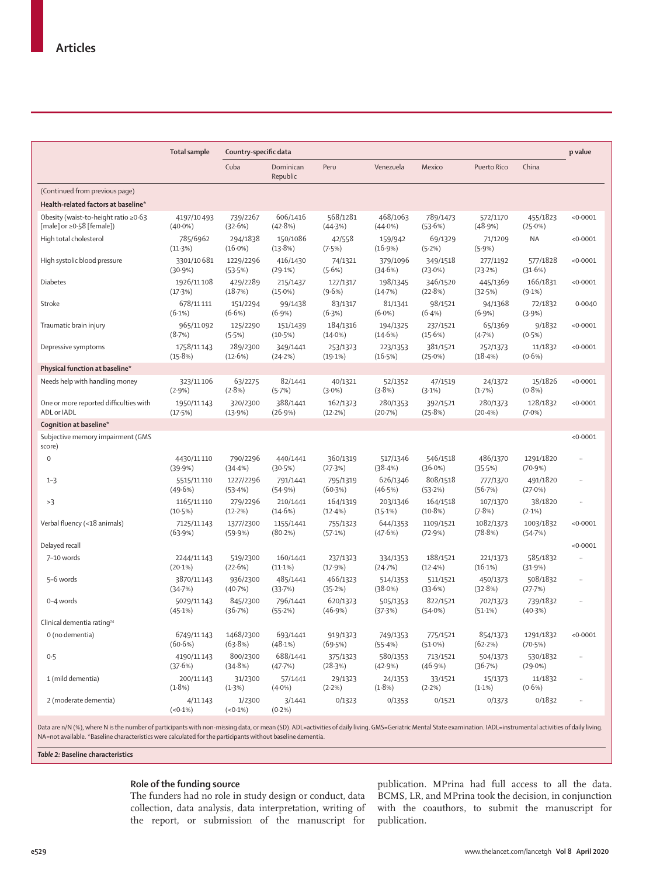|                                                                         | <b>Total sample</b>      | Country-specific data  |                        |                        |                        |                        |                        |                         | p value              |
|-------------------------------------------------------------------------|--------------------------|------------------------|------------------------|------------------------|------------------------|------------------------|------------------------|-------------------------|----------------------|
|                                                                         |                          | Cuba                   | Dominican<br>Republic  | Peru                   | Venezuela              | Mexico                 | Puerto Rico            | China                   |                      |
| (Continued from previous page)                                          |                          |                        |                        |                        |                        |                        |                        |                         |                      |
| Health-related factors at baseline*                                     |                          |                        |                        |                        |                        |                        |                        |                         |                      |
| Obesity (waist-to-height ratio ≥0.63<br>[male] or $\geq 0.58$ [female]) | 4197/10493<br>$(40.0\%)$ | 739/2267<br>(32.6%)    | 606/1416<br>(42.8%)    | 568/1281<br>(44.3%)    | 468/1063<br>$(44.0\%)$ | 789/1473<br>(53.6%)    | 572/1170<br>(48.9%)    | 455/1823<br>$(25.0\%)$  | < 0.0001             |
| High total cholesterol                                                  | 785/6962<br>(11.3%)      | 294/1838<br>$(16.0\%)$ | 150/1086<br>(13.8%)    | 42/558<br>(7.5%)       | 159/942<br>(16.9%)     | 69/1329<br>(5.2%)      | 71/1209<br>$(5.9\%)$   | <b>NA</b>               | < 0.0001             |
| High systolic blood pressure                                            | 3301/10681<br>(30.9%)    | 1229/2296<br>(53.5%)   | 416/1430<br>(29.1%)    | 74/1321<br>(5.6%)      | 379/1096<br>(34.6%)    | 349/1518<br>$(23.0\%)$ | 277/1192<br>(23.2%)    | 577/1828<br>(31.6%)     | < 0.0001             |
| <b>Diabetes</b>                                                         | 1926/11108<br>(17.3%)    | 429/2289<br>(18.7%)    | 215/1437<br>$(15.0\%)$ | 127/1317<br>(9.6%)     | 198/1345<br>(14.7%)    | 346/1520<br>(22.8%)    | 445/1369<br>(32.5%)    | 166/1831<br>(9.1%)      | < 0.0001             |
| Stroke                                                                  | 678/11111<br>$(6.1\%)$   | 151/2294<br>(6.6%)     | 99/1438<br>$(6.9\%)$   | 83/1317<br>(6.3%)      | 81/1341<br>$(6.0\%)$   | 98/1521<br>$(6.4\%)$   | 94/1368<br>$(6.9\%)$   | 72/1832<br>(3.9%)       | 0.0040               |
| Traumatic brain injury                                                  | 965/11092<br>(8.7%)      | 125/2290<br>(5.5%)     | 151/1439<br>(10.5%)    | 184/1316<br>$(14.0\%)$ | 194/1325<br>(14.6%)    | 237/1521<br>(15.6%)    | 65/1369<br>(4.7%)      | 9/1832<br>(0.5%)        | < 0.0001             |
| Depressive symptoms                                                     | 1758/11143<br>(15.8%)    | 289/2300<br>(12.6%)    | 349/1441<br>(24.2%)    | 253/1323<br>(19.1%)    | 223/1353<br>(16.5%)    | 381/1521<br>$(25.0\%)$ | 252/1373<br>$(18.4\%)$ | 11/1832<br>$(0.6\%)$    | < 0.0001             |
| Physical function at baseline*                                          |                          |                        |                        |                        |                        |                        |                        |                         |                      |
| Needs help with handling money                                          | 323/11106<br>(2.9%)      | 63/2275<br>(2.8%)      | 82/1441<br>(5.7%)      | 40/1321<br>$(3.0\%)$   | 52/1352<br>(3.8%)      | 47/1519<br>(3.1%)      | 24/1372<br>(1.7%)      | 15/1826<br>$(0.8\%)$    | < 0.0001             |
| One or more reported difficulties with<br>ADL or IADL                   | 1950/11143<br>(17.5%)    | 320/2300<br>(13.9%)    | 388/1441<br>(26.9%)    | 162/1323<br>(12.2%)    | 280/1353<br>(20.7%)    | 392/1521<br>(25.8%)    | 280/1373<br>(20.4%)    | 128/1832<br>$(7.0\%)$   | < 0.0001             |
| Cognition at baseline*                                                  |                          |                        |                        |                        |                        |                        |                        |                         |                      |
| Subjective memory impairment (GMS<br>score)                             |                          |                        |                        |                        |                        |                        |                        |                         | < 0.0001             |
| $\mathbf 0$                                                             | 4430/11110<br>(39.9%)    | 790/2296<br>(34.4%)    | 440/1441<br>(30.5%)    | 360/1319<br>(27.3%)    | 517/1346<br>(38.4%)    | 546/1518<br>$(36.0\%)$ | 486/1370<br>(35.5%)    | 1291/1820<br>$(70.9\%)$ | $\ddot{\phantom{a}}$ |
| $1 - 3$                                                                 | 5515/11110<br>(49.6%)    | 1227/2296<br>(53.4%)   | 791/1441<br>(54.9%)    | 795/1319<br>(60.3%)    | 626/1346<br>(46.5%)    | 808/1518<br>(53.2%)    | 777/1370<br>(56.7%)    | 491/1820<br>$(27.0\%)$  | $\ldots$             |
| >3                                                                      | 1165/11110<br>(10.5%)    | 279/2296<br>(12.2%)    | 210/1441<br>(14.6%)    | 164/1319<br>$(12.4\%)$ | 203/1346<br>$(15.1\%)$ | 164/1518<br>$(10.8\%)$ | 107/1370<br>(7.8%)     | 38/1820<br>$(2.1\%)$    | $\ldots$             |
| Verbal fluency (<18 animals)                                            | 7125/11143<br>(63.9%)    | 1377/2300<br>(59.9%)   | 1155/1441<br>(80.2%)   | 755/1323<br>(57.1%)    | 644/1353<br>(47.6%)    | 1109/1521<br>(72.9%)   | 1082/1373<br>(78.8%)   | 1003/1832<br>(54.7%)    | < 0.0001             |
| Delayed recall                                                          |                          |                        |                        |                        |                        |                        |                        |                         | < 0.0001             |
| 7-10 words                                                              | 2244/11143<br>$(20.1\%)$ | 519/2300<br>(22.6%)    | 160/1441<br>$(11.1\%)$ | 237/1323<br>(17.9%)    | 334/1353<br>(24.7%)    | 188/1521<br>(12.4%)    | 221/1373<br>$(16.1\%)$ | 585/1832<br>(31.9%)     | u,                   |
| 5-6 words                                                               | 3870/11143<br>(34.7%)    | 936/2300<br>(40.7%)    | 485/1441<br>(33.7%)    | 466/1323<br>(35.2%)    | 514/1353<br>(38.0%)    | 511/1521<br>(33.6%)    | 450/1373<br>(32.8%)    | 508/1832<br>(27.7%)     | $\ldots$             |
| 0-4 words                                                               | 5029/11143<br>(45.1%)    | 845/2300<br>(36.7%)    | 796/1441<br>(55.2%)    | 620/1323<br>(46.9%)    | 505/1353<br>(37.3%)    | 822/1521<br>(54.0%)    | 702/1373<br>$(51.1\%)$ | 739/1832<br>(40.3%)     | u,                   |
| Clinical dementia rating <sup>24</sup>                                  |                          |                        |                        |                        |                        |                        |                        |                         |                      |
| 0 (no dementia)                                                         | 6749/11143<br>(60.6%)    | 1468/2300<br>(63.8%)   | 693/1441<br>(48.1%)    | 919/1323<br>(69.5%)    | 749/1353<br>(55.4%)    | 775/1521<br>$(51.0\%)$ | 854/1373<br>(62.2%)    | 1291/1832<br>(70.5%)    | <0.0001              |
| 0.5                                                                     | 4190/11143<br>(37.6%)    | 800/2300<br>(34.8%)    | 688/1441<br>(47.7%)    | 375/1323<br>(28.3%)    | 580/1353<br>(42.9%)    | 713/1521<br>(46.9%)    | 504/1373<br>(36.7%)    | 530/1832<br>(29.0%)     | $\cdot$ .            |
| 1 (mild dementia)                                                       | 200/11143<br>$(1.8\%)$   | 31/2300<br>(1.3%)      | 57/1441<br>$(4.0\%)$   | 29/1323<br>(2.2%)      | 24/1353<br>(1.8%)      | 33/1521<br>$(2.2\%)$   | 15/1373<br>$(1.1\%)$   | 11/1832<br>$(0.6\%)$    |                      |
| 2 (moderate dementia)                                                   | 4/11143<br>$(0.1\%)$     | 1/2300<br>$(<0.1\%)$   | 3/1441<br>$(0.2\%)$    | 0/1323                 | 0/1353                 | 0/1521                 | 0/1373                 | 0/1832                  | $\cdot$ .            |

Data are n/N (%), where N is the number of participants with non-missing data, or mean (SD). ADL=activities of daily living. GMS=Geriatric Mental State examination. IADL=instrumental activities of daily living. NA=not available. \*Baseline characteristics were calculated for the participants without baseline dementia.

*Table 2:* **Baseline characteristics** 

## **Role of the funding source**

The funders had no role in study design or conduct, data collection, data analysis, data interpretation, writing of the report, or submission of the manuscript for

publication. MPrina had full access to all the data. BCMS, LR, and MPrina took the decision, in conjunction with the coauthors, to submit the manuscript for publication.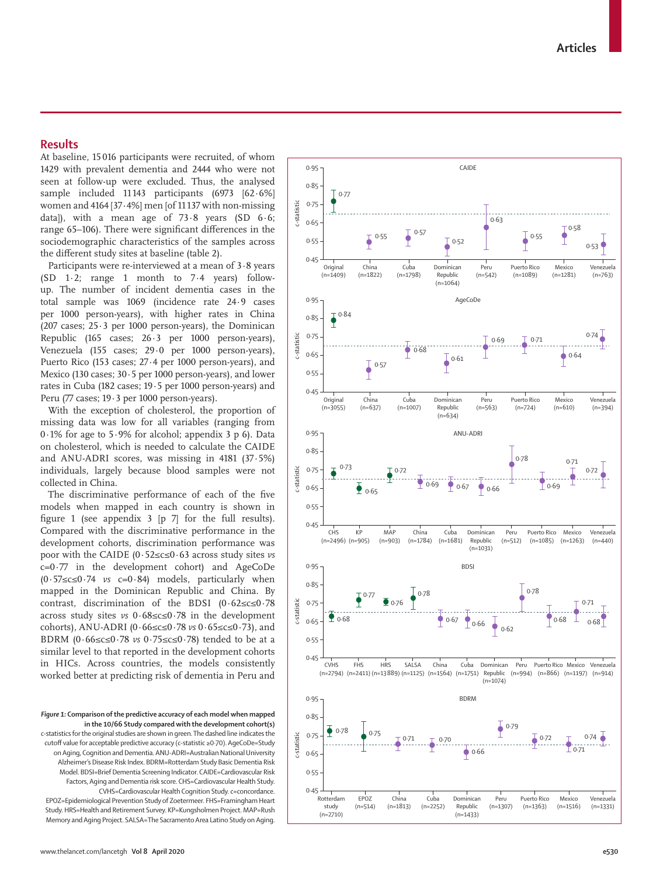## **Results**

At baseline, 15 016 participants were recruited, of whom 1429 with prevalent dementia and 2444 who were not seen at follow-up were excluded. Thus, the analysed sample included 11143 participants (6973 [62.6%] women and 4164 [37·4%] men [of 11 137 with non-missing data]), with a mean age of  $73.8$  years (SD  $6.6$ ; range 65–106). There were significant differences in the sociodemographic characteristics of the samples across the different study sites at baseline (table 2).

Participants were re-interviewed at a mean of 3·8 years  $(SD \t1.2; \t1)$  range 1 month to 7.4 years) followup. The number of incident dementia cases in the total sample was 1069 (incidence rate 24·9 cases per 1000 person-years), with higher rates in China (207 cases;  $25.3$  per 1000 person-years), the Dominican Republic (165 cases; 26·3 per 1000 person-years), Venezuela (155 cases; 29·0 per 1000 person-years), Puerto Rico (153 cases; 27·4 per 1000 person-years), and Mexico (130 cases; 30·5 per 1000 person-years), and lower rates in Cuba (182 cases; 19·5 per 1000 person-years) and Peru (77 cases; 19·3 per 1000 person-years).

With the exception of cholesterol, the proportion of missing data was low for all variables (ranging from  $0.1\%$  for age to 5.9% for alcohol; appendix 3 p 6). Data on cholesterol, which is needed to calculate the CAIDE and ANU-ADRI scores, was missing in 4181 (37·5%) individuals, largely because blood samples were not collected in China.

The discriminative performance of each of the five models when mapped in each country is shown in figure 1 (see appendix 3 [p 7] for the full results). Compared with the discriminative performance in the development cohorts, discrimination performance was poor with the CAIDE (0·52≤c≤0·63 across study sites *vs* c=0·77 in the development cohort) and AgeCoDe (0·57≤c≤0·74 *vs* c=0·84) models, particularly when mapped in the Dominican Republic and China. By contrast, discrimination of the BDSI (0·62≤c≤0·78 across study sites *vs* 0·68≤c≤0·78 in the development cohorts), ANU-ADRI (0·66≤c≤0·78 *vs* 0·65≤c≤0·73), and BDRM (0·66≤c≤0·78 *vs* 0·75≤c≤0·78) tended to be at a similar level to that reported in the development cohorts in HICs. Across countries, the models consistently worked better at predicting risk of dementia in Peru and

c-statistics for the original studies are shown in green. The dashed line indicates the cutoff value for acceptable predictive accuracy (c-statistic ≥0·70). AgeCoDe=Study on Aging, Cognition and Dementia. ANU-ADRI=Australian National University Alzheimer's Disease Risk Index. BDRM=Rotterdam Study Basic Dementia Risk Model. BDSI=Brief Dementia Screening Indicator. CAIDE=Cardiovascular Risk Factors, Aging and Dementia risk score. CHS=Cardiovascular Health Study. CVHS=Cardiovascular Health Cognition Study. c=concordance. EPOZ=Epidemiological Prevention Study of Zoetermeer. FHS=Framingham Heart Study. HRS=Health and Retirement Survey. KP=Kungsholmen Project. MAP=Rush Memory and Aging Project. SALSA=The Sacramento Area Latino Study on Aging.



*Figure 1:* **Comparison of the predictive accuracy of each model when mapped in the 10/66 Study compared with the development cohort(s)**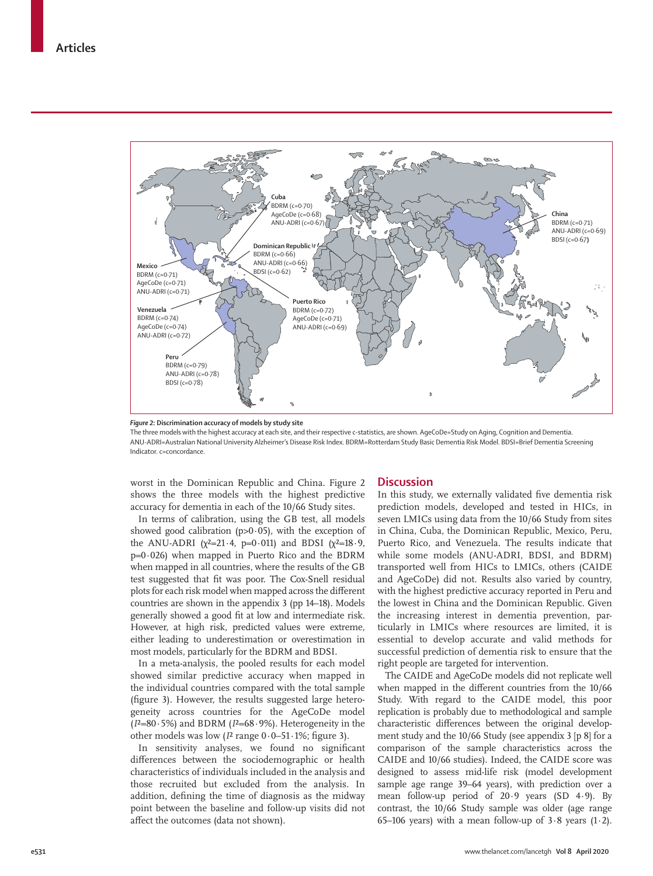

*Figure 2:* **Discrimination accuracy of models by study site**

The three models with the highest accuracy at each site, and their respective c-statistics, are shown. AgeCoDe=Study on Aging, Cognition and Dementia. ANU-ADRI=Australian National University Alzheimer's Disease Risk Index. BDRM=Rotterdam Study Basic Dementia Risk Model. BDSI=Brief Dementia Screening Indicator. c=concordance.

worst in the Dominican Republic and China. Figure 2 shows the three models with the highest predictive accuracy for dementia in each of the 10/66 Study sites.

In terms of calibration, using the GB test, all models showed good calibration ( $p>0.05$ ), with the exception of the ANU-ADRI ( $\chi^2$ =21.4, p=0.011) and BDSI ( $\chi^2$ =18.9,  $p=0.026$ ) when mapped in Puerto Rico and the BDRM when mapped in all countries, where the results of the GB test suggested that fit was poor. The Cox-Snell residual plots for each risk model when mapped across the different countries are shown in the appendix 3 (pp 14–18). Models generally showed a good fit at low and intermediate risk. However, at high risk, predicted values were extreme, either leading to underestimation or overestimation in most models, particularly for the BDRM and BDSI.

In a meta-analysis, the pooled results for each model showed similar predictive accuracy when mapped in the individual countries compared with the total sample (figure 3). However, the results suggested large heterogeneity across countries for the AgeCoDe model (*I*²=80·5%) and BDRM (*I*²=68·9%). Heterogeneity in the other models was low  $(I^2 \text{ range } 0.0-51.1\%$ ; figure 3).

In sensitivity analyses, we found no significant differences between the sociodemographic or health characteristics of individuals included in the analysis and those recruited but excluded from the analysis. In addition, defining the time of diagnosis as the midway point between the baseline and follow-up visits did not affect the outcomes (data not shown).

## **Discussion**

In this study, we externally validated five dementia risk prediction models, developed and tested in HICs, in seven LMICs using data from the 10/66 Study from sites in China, Cuba, the Dominican Republic, Mexico, Peru, Puerto Rico, and Venezuela. The results indicate that while some models (ANU-ADRI, BDSI, and BDRM) transported well from HICs to LMICs, others (CAIDE and AgeCoDe) did not. Results also varied by country, with the highest predictive accuracy reported in Peru and the lowest in China and the Dominican Republic. Given the increasing interest in dementia prevention, particularly in LMICs where resources are limited, it is essential to develop accurate and valid methods for successful prediction of dementia risk to ensure that the right people are targeted for intervention.

The CAIDE and AgeCoDe models did not replicate well when mapped in the different countries from the 10/66 Study. With regard to the CAIDE model, this poor replication is probably due to methodological and sample characteristic differences between the original development study and the 10/66 Study (see appendix 3 [p 8] for a comparison of the sample characteristics across the CAIDE and 10/66 studies). Indeed, the CAIDE score was designed to assess mid-life risk (model development sample age range 39–64 years), with prediction over a mean follow-up period of 20·9 years (SD 4·9). By contrast, the 10/66 Study sample was older (age range 65–106 years) with a mean follow-up of  $3.8$  years  $(1.2)$ .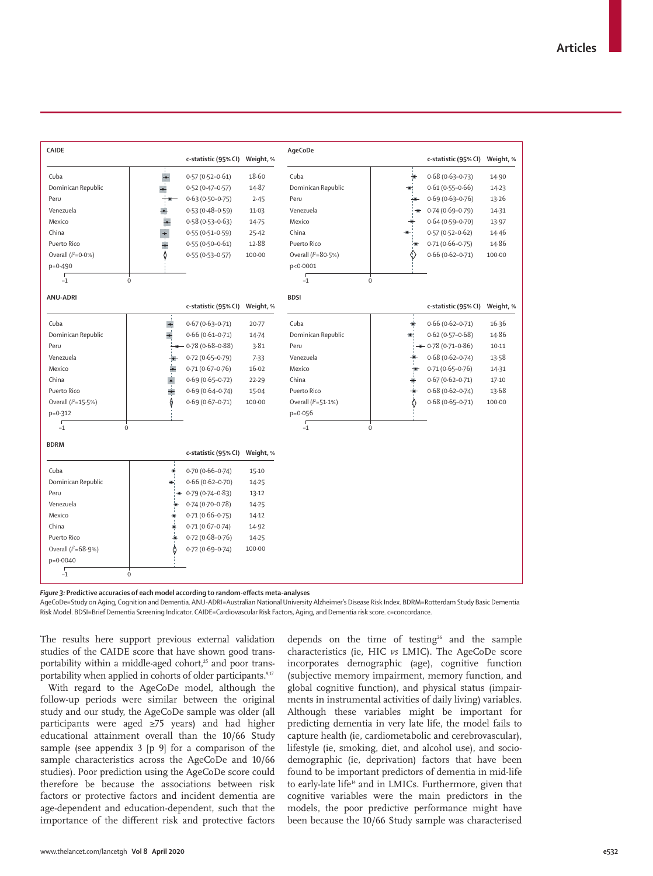

*Figure 3:* **Predictive accuracies of each model according to random-effects meta-analyses**

AgeCoDe=Study on Aging, Cognition and Dementia. ANU-ADRI=Australian National University Alzheimer's Disease Risk Index. BDRM=Rotterdam Study Basic Dementia Risk Model. BDSI=Brief Dementia Screening Indicator. CAIDE=Cardiovascular Risk Factors, Aging, and Dementia risk score. c=concordance.

The results here support previous external validation studies of the CAIDE score that have shown good transportability within a middle-aged cohort,<sup>25</sup> and poor transportability when applied in cohorts of older participants.<sup>9,17</sup>

With regard to the AgeCoDe model, although the follow-up periods were similar between the original study and our study, the AgeCoDe sample was older (all participants were aged ≥75 years) and had higher educational attainment overall than the 10/66 Study sample (see appendix 3 [p 9] for a comparison of the sample characteristics across the AgeCoDe and 10/66 studies). Poor prediction using the AgeCoDe score could therefore be because the associations between risk factors or protective factors and incident dementia are age-dependent and education-dependent, such that the importance of the different risk and protective factors depends on the time of testing<sup>26</sup> and the sample characteristics (ie, HIC *vs* LMIC). The AgeCoDe score incorporates demographic (age), cognitive function (subjective memory impairment, memory function, and global cognitive function), and physical status (impairments in instrumental activities of daily living) variables. Although these variables might be important for predicting dementia in very late life, the model fails to capture health (ie, cardiometabolic and cerebrovascular), lifestyle (ie, smoking, diet, and alcohol use), and sociodemographic (ie, deprivation) factors that have been found to be important predictors of dementia in mid-life to early-late life<sup>14</sup> and in LMICs. Furthermore, given that cognitive variables were the main predictors in the models, the poor predictive performance might have been because the 10/66 Study sample was characterised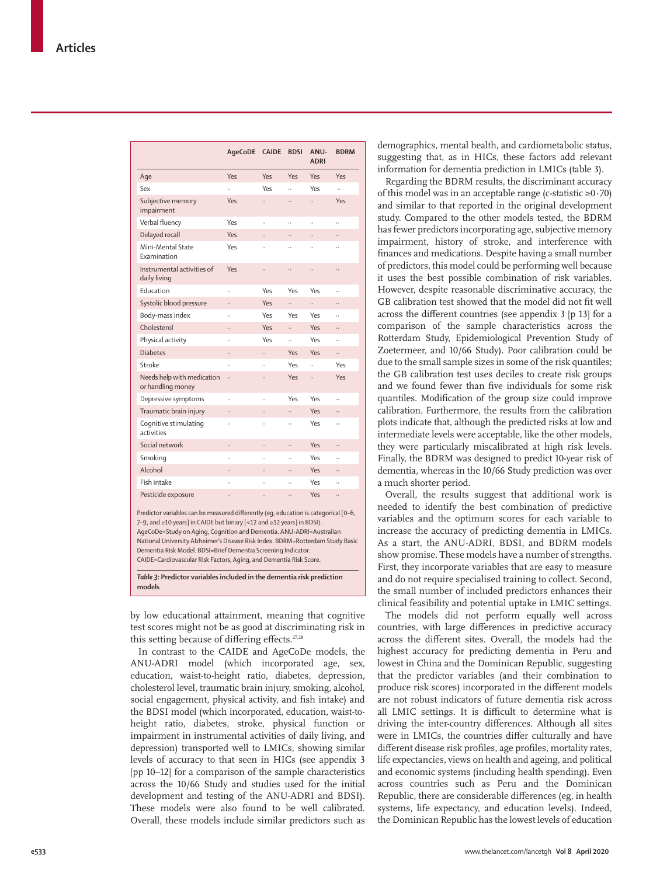|                                                                                                                                                                                                                                                                                                                                                                                                                                                              | AgeCoDE              | <b>CAIDE</b>         | <b>BDSI</b>          | ANU-<br><b>ADRI</b>  | <b>BDRM</b>          |
|--------------------------------------------------------------------------------------------------------------------------------------------------------------------------------------------------------------------------------------------------------------------------------------------------------------------------------------------------------------------------------------------------------------------------------------------------------------|----------------------|----------------------|----------------------|----------------------|----------------------|
| Age                                                                                                                                                                                                                                                                                                                                                                                                                                                          | Yes                  | Yes                  | Yes                  | Yes                  | Yes                  |
| Sex                                                                                                                                                                                                                                                                                                                                                                                                                                                          | $\ddot{\phantom{0}}$ | Yes                  | $\ddot{\phantom{a}}$ | Yes                  | $\ddot{\phantom{a}}$ |
| Subjective memory<br>impairment                                                                                                                                                                                                                                                                                                                                                                                                                              | Yes                  |                      |                      |                      | Yes                  |
| Verbal fluency                                                                                                                                                                                                                                                                                                                                                                                                                                               | Yes                  | $\ddot{\phantom{0}}$ | $\ddot{\phantom{a}}$ | $\ddot{\phantom{a}}$ | $\ddot{\phantom{a}}$ |
| Delayed recall                                                                                                                                                                                                                                                                                                                                                                                                                                               | Yes                  |                      |                      |                      |                      |
| Mini-Mental State<br>Examination                                                                                                                                                                                                                                                                                                                                                                                                                             | Yes                  |                      | $\ddot{\phantom{a}}$ |                      |                      |
| Instrumental activities of<br>daily living                                                                                                                                                                                                                                                                                                                                                                                                                   | Yes                  |                      |                      |                      |                      |
| Education                                                                                                                                                                                                                                                                                                                                                                                                                                                    |                      | Yes                  | Yes                  | Yes                  | $\ddot{\phantom{a}}$ |
| Systolic blood pressure                                                                                                                                                                                                                                                                                                                                                                                                                                      |                      | Yes                  |                      |                      |                      |
| Body-mass index                                                                                                                                                                                                                                                                                                                                                                                                                                              | $\ddot{\phantom{a}}$ | Yes                  | Yes                  | Yes                  | $\ddot{\phantom{a}}$ |
| Cholesterol                                                                                                                                                                                                                                                                                                                                                                                                                                                  | .,                   | Yes                  |                      | Yes                  |                      |
| Physical activity                                                                                                                                                                                                                                                                                                                                                                                                                                            | Ω,                   | Yes                  | $\ddot{\phantom{0}}$ | Yes                  | $\ddot{\phantom{a}}$ |
| <b>Diabetes</b>                                                                                                                                                                                                                                                                                                                                                                                                                                              |                      |                      | Yes                  | Yes                  |                      |
| Stroke                                                                                                                                                                                                                                                                                                                                                                                                                                                       |                      | $\ddot{\phantom{0}}$ | Yes                  | u.                   | Yes                  |
| Needs help with medication<br>or handling money                                                                                                                                                                                                                                                                                                                                                                                                              |                      |                      | Yes                  |                      | Yes                  |
| Depressive symptoms                                                                                                                                                                                                                                                                                                                                                                                                                                          | ä,                   |                      | Yes                  | Yes                  |                      |
| Traumatic brain injury                                                                                                                                                                                                                                                                                                                                                                                                                                       |                      |                      |                      | Yes                  |                      |
| Cognitive stimulating<br>activities                                                                                                                                                                                                                                                                                                                                                                                                                          | $\ddot{\phantom{a}}$ | $\ddot{\phantom{a}}$ |                      | Yes                  | $\ddot{\phantom{a}}$ |
| Social network                                                                                                                                                                                                                                                                                                                                                                                                                                               |                      |                      |                      | Yes                  |                      |
| Smoking                                                                                                                                                                                                                                                                                                                                                                                                                                                      | J.                   |                      | $\ddot{\phantom{a}}$ | Yes                  |                      |
| Alcohol                                                                                                                                                                                                                                                                                                                                                                                                                                                      |                      |                      |                      | Yes                  |                      |
| Fish intake                                                                                                                                                                                                                                                                                                                                                                                                                                                  | .,                   | $\ddot{\phantom{a}}$ |                      | Yes                  | J,                   |
| Pesticide exposure                                                                                                                                                                                                                                                                                                                                                                                                                                           |                      |                      |                      | Yes                  |                      |
| Predictor variables can be measured differently (eq, education is categorical [0-6,<br>7-9, and ≥10 years] in CAIDE but binary [<12 and ≥12 years] in BDSI).<br>AgeCoDe=Study on Aging, Cognition and Dementia. ANU-ADRI=Australian<br>National University Alzheimer's Disease Risk Index. BDRM=Rotterdam Study Basic<br>Dementia Risk Model. BDSI=Brief Dementia Screening Indicator.<br>CAIDE=Cardiovascular Risk Factors, Aging, and Dementia Risk Score. |                      |                      |                      |                      |                      |

*Table 3:* **Predictor variables included in the dementia risk prediction models**

by low educational attainment, meaning that cognitive test scores might not be as good at discriminating risk in this setting because of differing effects.<sup>27,28</sup>

In contrast to the CAIDE and AgeCoDe models, the ANU-ADRI model (which incorporated age, sex, education, waist-to-height ratio, diabetes, depression, cholesterol level, traumatic brain injury, smoking, alcohol, social engagement, physical activity, and fish intake) and the BDSI model (which incorporated, education, waist-toheight ratio, diabetes, stroke, physical function or impairment in instrumental activities of daily living, and depression) transported well to LMICs, showing similar levels of accuracy to that seen in HICs (see appendix 3 [pp 10–12] for a comparison of the sample characteristics across the 10/66 Study and studies used for the initial development and testing of the ANU-ADRI and BDSI). These models were also found to be well calibrated. Overall, these models include similar predictors such as demographics, mental health, and cardiometabolic status, suggesting that, as in HICs, these factors add relevant information for dementia prediction in LMICs (table 3).

Regarding the BDRM results, the discriminant accuracy of this model was in an acceptable range (c-statistic ≥0·70) and similar to that reported in the original development study. Compared to the other models tested, the BDRM has fewer predictors incorporating age, subjective memory impairment, history of stroke, and interference with finances and medications. Despite having a small number of predictors, this model could be performing well because it uses the best possible combination of risk variables. However, despite reasonable discriminative accuracy, the GB calibration test showed that the model did not fit well across the different countries (see appendix 3 [p 13] for a comparison of the sample characteristics across the Rotterdam Study, Epidemiological Prevention Study of Zoetermeer, and 10/66 Study). Poor calibration could be due to the small sample sizes in some of the risk quantiles; the GB calibration test uses deciles to create risk groups and we found fewer than five individuals for some risk quantiles. Modification of the group size could improve calibration. Furthermore, the results from the calibration plots indicate that, although the predicted risks at low and intermediate levels were acceptable, like the other models, they were particularly miscalibrated at high risk levels. Finally, the BDRM was designed to predict 10-year risk of dementia, whereas in the 10/66 Study prediction was over a much shorter period.

Overall, the results suggest that additional work is needed to identify the best combination of predictive variables and the optimum scores for each variable to increase the accuracy of predicting dementia in LMICs. As a start, the ANU-ADRI, BDSI, and BDRM models show promise. These models have a number of strengths. First, they incorporate variables that are easy to measure and do not require specialised training to collect. Second, the small number of included predictors enhances their clinical feasibility and potential uptake in LMIC settings.

The models did not perform equally well across countries, with large differences in predictive accuracy across the different sites. Overall, the models had the highest accuracy for predicting dementia in Peru and lowest in China and the Dominican Republic, suggesting that the predictor variables (and their combination to produce risk scores) incorporated in the different models are not robust indicators of future dementia risk across all LMIC settings. It is difficult to determine what is driving the inter-country differences. Although all sites were in LMICs, the countries differ culturally and have different disease risk profiles, age profiles, mortality rates, life expectancies, views on health and ageing, and political and economic systems (including health spending). Even across countries such as Peru and the Dominican Republic, there are considerable differences (eg, in health systems, life expectancy, and education levels). Indeed, the Dominican Republic has the lowest levels of education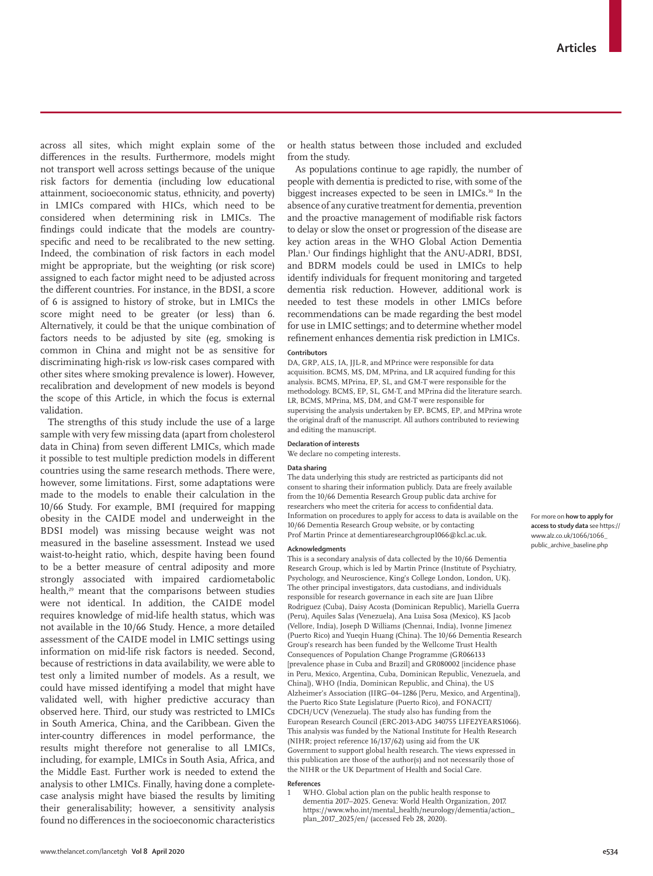across all sites, which might explain some of the differences in the results. Furthermore, models might not transport well across settings because of the unique risk factors for dementia (including low educational attainment, socioeconomic status, ethnicity, and poverty) in LMICs compared with HICs, which need to be considered when determining risk in LMICs. The findings could indicate that the models are countryspecific and need to be recalibrated to the new setting. Indeed, the combination of risk factors in each model might be appropriate, but the weighting (or risk score) assigned to each factor might need to be adjusted across the different countries. For instance, in the BDSI, a score of 6 is assigned to history of stroke, but in LMICs the score might need to be greater (or less) than 6. Alternatively, it could be that the unique combination of factors needs to be adjusted by site (eg, smoking is common in China and might not be as sensitive for discriminating high-risk *vs* low-risk cases compared with other sites where smoking prevalence is lower). However, recalibration and development of new models is beyond the scope of this Article, in which the focus is external validation.

The strengths of this study include the use of a large sample with very few missing data (apart from cholesterol data in China) from seven different LMICs, which made it possible to test multiple prediction models in different countries using the same research methods. There were, however, some limitations. First, some adaptations were made to the models to enable their calculation in the 10/66 Study. For example, BMI (required for mapping obesity in the CAIDE model and underweight in the BDSI model) was missing because weight was not measured in the baseline assessment. Instead we used waist-to-height ratio, which, despite having been found to be a better measure of central adiposity and more strongly associated with impaired cardiometabolic health,<sup>29</sup> meant that the comparisons between studies were not identical. In addition, the CAIDE model requires knowledge of mid-life health status, which was not available in the 10/66 Study. Hence, a more detailed assessment of the CAIDE model in LMIC settings using information on mid-life risk factors is needed. Second, because of restrictions in data availability, we were able to test only a limited number of models. As a result, we could have missed identifying a model that might have validated well, with higher predictive accuracy than observed here. Third, our study was restricted to LMICs in South America, China, and the Caribbean. Given the inter-country differences in model performance, the results might therefore not generalise to all LMICs, including, for example, LMICs in South Asia, Africa, and the Middle East. Further work is needed to extend the analysis to other LMICs. Finally, having done a completecase analysis might have biased the results by limiting their generalisability; however, a sensitivity analysis found no differences in the socioeconomic characteristics or health status between those included and excluded from the study.

As populations continue to age rapidly, the number of people with dementia is predicted to rise, with some of the biggest increases expected to be seen in LMICs.<sup>30</sup> In the absence of any curative treatment for dementia, prevention and the proactive management of modifiable risk factors to delay or slow the onset or progression of the disease are key action areas in the WHO Global Action Dementia Plan.1 Our findings highlight that the ANU-ADRI, BDSI, and BDRM models could be used in LMICs to help identify individuals for frequent monitoring and targeted dementia risk reduction. However, additional work is needed to test these models in other LMICs before recommendations can be made regarding the best model for use in LMIC settings; and to determine whether model refinement enhances dementia risk prediction in LMICs.

#### **Contributors**

DA, GRP, ALS, IA, JJL-R, and MPrince were responsible for data acquisition. BCMS, MS, DM, MPrina, and LR acquired funding for this analysis. BCMS, MPrina, EP, SL, and GM-T were responsible for the methodology. BCMS, EP, SL, GM-T, and MPrina did the literature search. LR, BCMS, MPrina, MS, DM, and GM-T were responsible for supervising the analysis undertaken by EP**.** BCMS, EP, and MPrina wrote the original draft of the manuscript. All authors contributed to reviewing and editing the manuscript.

#### **Declaration of interests**

We declare no competing interests.

#### **Data sharing**

The data underlying this study are restricted as participants did not consent to sharing their information publicly. Data are freely available from the 10/66 Dementia Research Group public data archive for researchers who meet the criteria for access to confidential data. Information on procedures to [apply for access](https://www.alz.co.uk/1066/1066_public_archive_baseline.php) to data is available on the 10/66 Dementia Research Group website, or by contacting Prof Martin Prince at dementiaresearchgroup1066@kcl.ac.uk.

#### **Acknowledgments**

This is a secondary analysis of data collected by the 10/66 Dementia Research Group, which is led by Martin Prince (Institute of Psychiatry, Psychology, and Neuroscience, King's College London, London, UK). The other principal investigators, data custodians, and individuals responsible for research governance in each site are Juan Llibre Rodriguez (Cuba), Daisy Acosta (Dominican Republic), Mariella Guerra (Peru), Aquiles Salas (Venezuela), Ana Luisa Sosa (Mexico), KS Jacob (Vellore, India), Joseph D Williams (Chennai, India), Ivonne Jimenez (Puerto Rico) and Yueqin Huang (China). The 10/66 Dementia Research Group's research has been funded by the Wellcome Trust Health Consequences of Population Change Programme (GR066133 [prevalence phase in Cuba and Brazil] and GR080002 [incidence phase in Peru, Mexico, Argentina, Cuba, Dominican Republic, Venezuela, and China]), WHO (India, Dominican Republic, and China), the US Alzheimer's Association (IIRG–04–1286 [Peru, Mexico, and Argentina]), the Puerto Rico State Legislature (Puerto Rico), and FONACIT/ CDCH/UCV (Venezuela). The study also has funding from the European Research Council (ERC-2013-ADG 340755 LIFE2YEARS1066). This analysis was funded by the National Institute for Health Research (NIHR; project reference 16/137/62) using aid from the UK Government to support global health research. The views expressed in this publication are those of the author(s) and not necessarily those of the NIHR or the UK Department of Health and Social Care.

#### **References**

WHO. Global action plan on the public health response to dementia 2017–2025. Geneva: World Health Organization, 2017. https://www.who.int/mental\_health/neurology/dementia/action\_ plan\_2017\_2025/en/ (accessed Feb 28, 2020).

For more on **how to apply for access to study data** see [https://](https://www.alz.co.uk/1066/1066_public_archive_baseline.php) [www.alz.co.uk/1066/1066\\_](https://www.alz.co.uk/1066/1066_public_archive_baseline.php) [public\\_archive\\_baseline.php](https://www.alz.co.uk/1066/1066_public_archive_baseline.php)